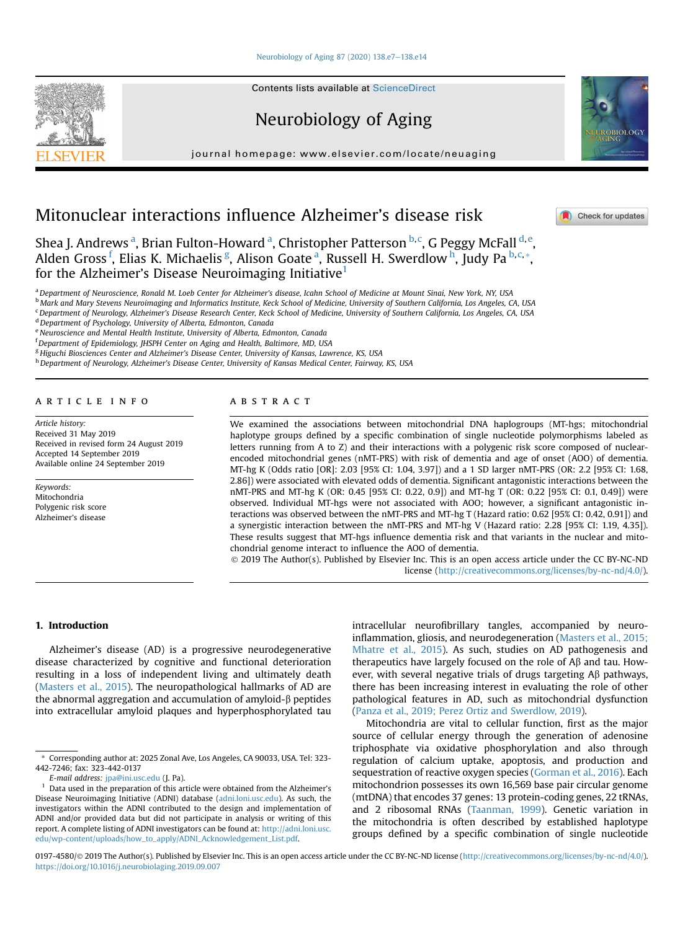### [Neurobiology of Aging 87 \(2020\) 138.e7](https://doi.org/10.1016/j.neurobiolaging.2019.09.007)-[138.e14](https://doi.org/10.1016/j.neurobiolaging.2019.09.007)

**Contents lists available at ScienceDirect** 

Neurobiology of Aging

journal homepage: [www.elsevier.com/locate/neuaging](http://www.elsevier.com/locate/neuaging)



She[a](#page-0-0) J. Andrews <sup>a</sup>, Brian Fulton-Howard <sup>a</sup>, Christopher Patterson <sup>[b,](#page-0-1) [c](#page-0-2)</sup>, G Peggy McFall <sup>[d](#page-0-3), [e](#page-0-4)</sup>, Alden Gross <sup>[f](#page-0-5)</sup>, Elias K. Michaelis <sup>[g](#page-0-6)</sup>, Alison Go[a](#page-0-0)te <sup>a</sup>, Russell H. Swerdlow [h](#page-0-7), Judy Pa b.[c](#page-0-2).[\\*](#page-0-8), for the Alzheimer's Disease Neuroimaging Initiative<sup>1</sup>

<span id="page-0-0"></span>a Department of Neuroscience, Ronald M. Loeb Center for Alzheimer's disease, Icahn School of Medicine at Mount Sinai, New York, NY, USA

<span id="page-0-1"></span>**b Mark and Mary Stevens Neuroimaging and Informatics Institute, Keck School of Medicine, University of Southern California, Los Angeles, CA, USA** 

<span id="page-0-2"></span><sup>c</sup> Department of Neurology, Alzheimer's Disease Research Center, Keck School of Medicine, University of Southern California, Los Angeles, CA, USA

<span id="page-0-3"></span><sup>d</sup> Department of Psychology, University of Alberta, Edmonton, Canada

<span id="page-0-4"></span> $e$  Neuroscience and Mental Health Institute, University of Alberta, Edmonton, Canada

<span id="page-0-5"></span><sup>f</sup> Department of Epidemiology, JHSPH Center on Aging and Health, Baltimore, MD, USA

<span id="page-0-6"></span><sup>g</sup> Higuchi Biosciences Center and Alzheimer's Disease Center, University of Kansas, Lawrence, KS, USA

<span id="page-0-7"></span>h Department of Neurology, Alzheimer's Disease Center, University of Kansas Medical Center, Fairway, KS, USA

#### article info

Article history: Received 31 May 2019 Received in revised form 24 August 2019 Accepted 14 September 2019 Available online 24 September 2019

Keywords: Mitochondria Polygenic risk score Alzheimer's disease

## abstract

We examined the associations between mitochondrial DNA haplogroups (MT-hgs; mitochondrial haplotype groups defined by a specific combination of single nucleotide polymorphisms labeled as letters running from A to Z) and their interactions with a polygenic risk score composed of nuclearencoded mitochondrial genes (nMT-PRS) with risk of dementia and age of onset (AOO) of dementia. MT-hg K (Odds ratio [OR]: 2.03 [95% CI: 1.04, 3.97]) and a 1 SD larger nMT-PRS (OR: 2.2 [95% CI: 1.68, 2.86]) were associated with elevated odds of dementia. Significant antagonistic interactions between the nMT-PRS and MT-hg K (OR: 0.45 [95% CI: 0.22, 0.9]) and MT-hg T (OR: 0.22 [95% CI: 0.1, 0.49]) were observed. Individual MT-hgs were not associated with AOO; however, a significant antagonistic interactions was observed between the nMT-PRS and MT-hg T (Hazard ratio: 0.62 [95% CI: 0.42, 0.91]) and a synergistic interaction between the nMT-PRS and MT-hg V (Hazard ratio: 2.28 [95% CI: 1.19, 4.35]). These results suggest that MT-hgs influence dementia risk and that variants in the nuclear and mitochondrial genome interact to influence the AOO of dementia.

 2019 The Author(s). Published by Elsevier Inc. This is an open access article under the CC BY-NC-ND license [\(http://creativecommons.org/licenses/by-nc-nd/4.0/](http://creativecommons.org/licenses/by-nc-nd/4.0/)).

## 1. Introduction

Alzheimer's disease (AD) is a progressive neurodegenerative disease characterized by cognitive and functional deterioration resulting in a loss of independent living and ultimately death [\(Masters et al., 2015](#page-7-0)). The neuropathological hallmarks of AD are the abnormal aggregation and accumulation of amyloid- $\beta$  peptides into extracellular amyloid plaques and hyperphosphorylated tau

E-mail address: [jpa@ini.usc.edu](mailto:jpa@ini.usc.edu) (J. Pa).

intracellular neurofibrillary tangles, accompanied by neuroinflammation, gliosis, and neurodegeneration [\(Masters et al., 2015;](#page-7-0) [Mhatre et al., 2015](#page-7-0)). As such, studies on AD pathogenesis and therapeutics have largely focused on the role of  $\mathsf{A}\beta$  and tau. However, with several negative trials of drugs targeting  $\Lambda\beta$  pathways, there has been increasing interest in evaluating the role of other pathological features in AD, such as mitochondrial dysfunction ([Panza et al., 2019; Perez Ortiz and Swerdlow, 2019\)](#page-7-1).

Mitochondria are vital to cellular function, first as the major source of cellular energy through the generation of adenosine triphosphate via oxidative phosphorylation and also through regulation of calcium uptake, apoptosis, and production and sequestration of reactive oxygen species ([Gorman et al., 2016\)](#page-6-0). Each mitochondrion possesses its own 16,569 base pair circular genome (mtDNA) that encodes 37 genes: 13 protein-coding genes, 22 tRNAs, and 2 ribosomal RNAs ([Taanman, 1999\)](#page-7-2). Genetic variation in the mitochondria is often described by established haplotype groups defined by a specific combination of single nucleotide

0197-4580/© 2019 The Author(s). Published by Elsevier Inc. This is an open access article under the CC BY-NC-ND license ([http://creativecommons.org/licenses/by-nc-nd/4.0/\)](http://creativecommons.org/licenses/by-nc-nd/4.0/). <https://doi.org/10.1016/j.neurobiolaging.2019.09.007>







<span id="page-0-8"></span><sup>\*</sup> Corresponding author at: 2025 Zonal Ave, Los Angeles, CA 90033, USA. Tel: 323- 442-7246; fax: 323-442-0137

<span id="page-0-9"></span> $1$  Data used in the preparation of this article were obtained from the Alzheimer's Disease Neuroimaging Initiative (ADNI) database [\(adni.loni.usc.edu](http://adni.loni.usc.edu)). As such, the investigators within the ADNI contributed to the design and implementation of ADNI and/or provided data but did not participate in analysis or writing of this report. A complete listing of ADNI investigators can be found at: [http://adni.loni.usc.](http://adni.loni.usc.edu/wp-content/uploads/how_to_apply/ADNI_Acknowledgement_List.pdf) [edu/wp-content/uploads/how\\_to\\_apply/ADNI\\_Acknowledgement\\_List.pdf](http://adni.loni.usc.edu/wp-content/uploads/how_to_apply/ADNI_Acknowledgement_List.pdf).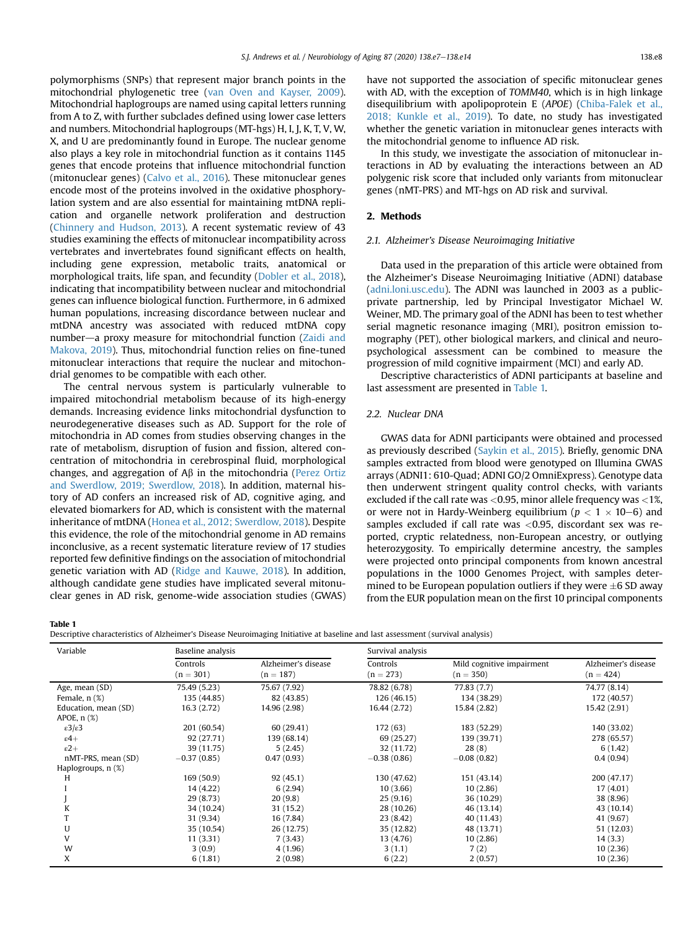polymorphisms (SNPs) that represent major branch points in the mitochondrial phylogenetic tree ([van Oven and Kayser, 2009](#page-7-3)). Mitochondrial haplogroups are named using capital letters running from A to Z, with further subclades defined using lower case letters and numbers. Mitochondrial haplogroups (MT-hgs) H, I, J, K, T, V, W, X, and U are predominantly found in Europe. The nuclear genome also plays a key role in mitochondrial function as it contains 1145 genes that encode proteins that influence mitochondrial function (mitonuclear genes) [\(Calvo et al., 2016\)](#page-5-0). These mitonuclear genes encode most of the proteins involved in the oxidative phosphorylation system and are also essential for maintaining mtDNA replication and organelle network proliferation and destruction ([Chinnery and Hudson, 2013\)](#page-5-1). A recent systematic review of 43 studies examining the effects of mitonuclear incompatibility across vertebrates and invertebrates found significant effects on health, including gene expression, metabolic traits, anatomical or morphological traits, life span, and fecundity ([Dobler et al., 2018](#page-5-2)), indicating that incompatibility between nuclear and mitochondrial genes can influence biological function. Furthermore, in 6 admixed human populations, increasing discordance between nuclear and mtDNA ancestry was associated with reduced mtDNA copy number—a proxy measure for mitochondrial function [\(Zaidi and](#page-7-4) [Makova, 2019](#page-7-4)). Thus, mitochondrial function relies on fine-tuned mitonuclear interactions that require the nuclear and mitochondrial genomes to be compatible with each other.

The central nervous system is particularly vulnerable to impaired mitochondrial metabolism because of its high-energy demands. Increasing evidence links mitochondrial dysfunction to neurodegenerative diseases such as AD. Support for the role of mitochondria in AD comes from studies observing changes in the rate of metabolism, disruption of fusion and fission, altered concentration of mitochondria in cerebrospinal fluid, morphological changes, and aggregation of  $\mathsf{AB}$  in the mitochondria ([Perez Ortiz](#page-7-5) [and Swerdlow, 2019; Swerdlow, 2018](#page-7-5)). In addition, maternal history of AD confers an increased risk of AD, cognitive aging, and elevated biomarkers for AD, which is consistent with the maternal inheritance of mtDNA [\(Honea et al., 2012; Swerdlow, 2018](#page-6-1)). Despite this evidence, the role of the mitochondrial genome in AD remains inconclusive, as a recent systematic literature review of 17 studies reported few definitive findings on the association of mitochondrial genetic variation with AD [\(Ridge and Kauwe, 2018](#page-7-6)). In addition, although candidate gene studies have implicated several mitonuclear genes in AD risk, genome-wide association studies (GWAS)

<span id="page-1-0"></span>Table 1

Descriptive characteristics of Alzheimer's Disease Neuroimaging Initiative at baseline and last assessment (survival analysis)

| Variable                   | Baseline analysis       |                                    | Survival analysis       |                                          |                                    |  |
|----------------------------|-------------------------|------------------------------------|-------------------------|------------------------------------------|------------------------------------|--|
|                            | Controls<br>$(n = 301)$ | Alzheimer's disease<br>$(n = 187)$ | Controls<br>$(n = 273)$ | Mild cognitive impairment<br>$(n = 350)$ | Alzheimer's disease<br>$(n = 424)$ |  |
| Age, mean (SD)             | 75.49 (5.23)            | 75.67 (7.92)                       | 78.82 (6.78)            | 77.83 (7.7)                              | 74.77 (8.14)                       |  |
| Female, $n$ $(\%)$         | 135 (44.85)             | 82 (43.85)                         | 126 (46.15)             | 134 (38.29)                              | 172 (40.57)                        |  |
| Education, mean (SD)       | 16.3(2.72)              | 14.96 (2.98)                       | 16.44 (2.72)            | 15.84 (2.82)                             | 15.42 (2.91)                       |  |
| APOE, $n$ $(\%)$           |                         |                                    |                         |                                          |                                    |  |
| $\epsilon$ 3/ $\epsilon$ 3 | 201 (60.54)             | 60 (29.41)                         | 172 (63)                | 183 (52.29)                              | 140 (33.02)                        |  |
| $\varepsilon$ 4+           | 92 (27.71)              | 139 (68.14)                        | 69 (25.27)              | 139 (39.71)                              | 278 (65.57)                        |  |
| $\varepsilon$ 2+           | 39 (11.75)              | 5(2.45)                            | 32 (11.72)              | 28(8)                                    | 6(1.42)                            |  |
| nMT-PRS, mean (SD)         | $-0.37(0.85)$           | 0.47(0.93)                         | $-0.38(0.86)$           | $-0.08(0.82)$                            | 0.4(0.94)                          |  |
| Haplogroups, n (%)         |                         |                                    |                         |                                          |                                    |  |
| H                          | 169 (50.9)              | 92(45.1)                           | 130 (47.62)             | 151 (43.14)                              | 200 (47.17)                        |  |
|                            | 14 (4.22)               | 6(2.94)                            | 10(3.66)                | 10(2.86)                                 | 17(4.01)                           |  |
|                            | 29(8.73)                | 20(9.8)                            | 25(9.16)                | 36 (10.29)                               | 38 (8.96)                          |  |
| K                          | 34 (10.24)              | 31 (15.2)                          | 28 (10.26)              | 46 (13.14)                               | 43 (10.14)                         |  |
|                            | 31 (9.34)               | 16 (7.84)                          | 23 (8.42)               | 40 (11.43)                               | 41 (9.67)                          |  |
|                            | 35 (10.54)              | 26 (12.75)                         | 35 (12.82)              | 48 (13.71)                               | 51 (12.03)                         |  |
|                            | 11(3.31)                | 7(3.43)                            | 13 (4.76)               | 10(2.86)                                 | 14(3.3)                            |  |
| W                          | 3(0.9)                  | 4(1.96)                            | 3(1.1)                  | 7(2)                                     | 10(2.36)                           |  |
| X                          | 6(1.81)                 | 2(0.98)                            | 6(2.2)                  | 2(0.57)                                  | 10(2.36)                           |  |

have not supported the association of specific mitonuclear genes with AD, with the exception of TOMM40, which is in high linkage disequilibrium with apolipoprotein E (APOE) ([Chiba-Falek et al.,](#page-5-3) [2018; Kunkle et al., 2019](#page-5-3)). To date, no study has investigated whether the genetic variation in mitonuclear genes interacts with the mitochondrial genome to influence AD risk.

In this study, we investigate the association of mitonuclear interactions in AD by evaluating the interactions between an AD polygenic risk score that included only variants from mitonuclear genes (nMT-PRS) and MT-hgs on AD risk and survival.

### 2. Methods

#### 2.1. Alzheimer's Disease Neuroimaging Initiative

Data used in the preparation of this article were obtained from the Alzheimer's Disease Neuroimaging Initiative (ADNI) database [\(adni.loni.usc.edu](http://adni.loni.usc.edu)). The ADNI was launched in 2003 as a publicprivate partnership, led by Principal Investigator Michael W. Weiner, MD. The primary goal of the ADNI has been to test whether serial magnetic resonance imaging (MRI), positron emission tomography (PET), other biological markers, and clinical and neuropsychological assessment can be combined to measure the progression of mild cognitive impairment (MCI) and early AD.

Descriptive characteristics of ADNI participants at baseline and last assessment are presented in [Table 1.](#page-1-0)

# 2.2. Nuclear DNA

GWAS data for ADNI participants were obtained and processed as previously described ([Saykin et al., 2015\)](#page-7-7). Briefly, genomic DNA samples extracted from blood were genotyped on Illumina GWAS arrays (ADNI1: 610-Quad; ADNI GO/2 OmniExpress). Genotype data then underwent stringent quality control checks, with variants excluded if the call rate was  $<$  0.95, minor allele frequency was  $<$  1%, or were not in Hardy-Weinberg equilibrium ( $p < 1 \times 10-6$ ) and samples excluded if call rate was <0.95, discordant sex was reported, cryptic relatedness, non-European ancestry, or outlying heterozygosity. To empirically determine ancestry, the samples were projected onto principal components from known ancestral populations in the 1000 Genomes Project, with samples determined to be European population outliers if they were  $\pm 6$  SD away from the EUR population mean on the first 10 principal components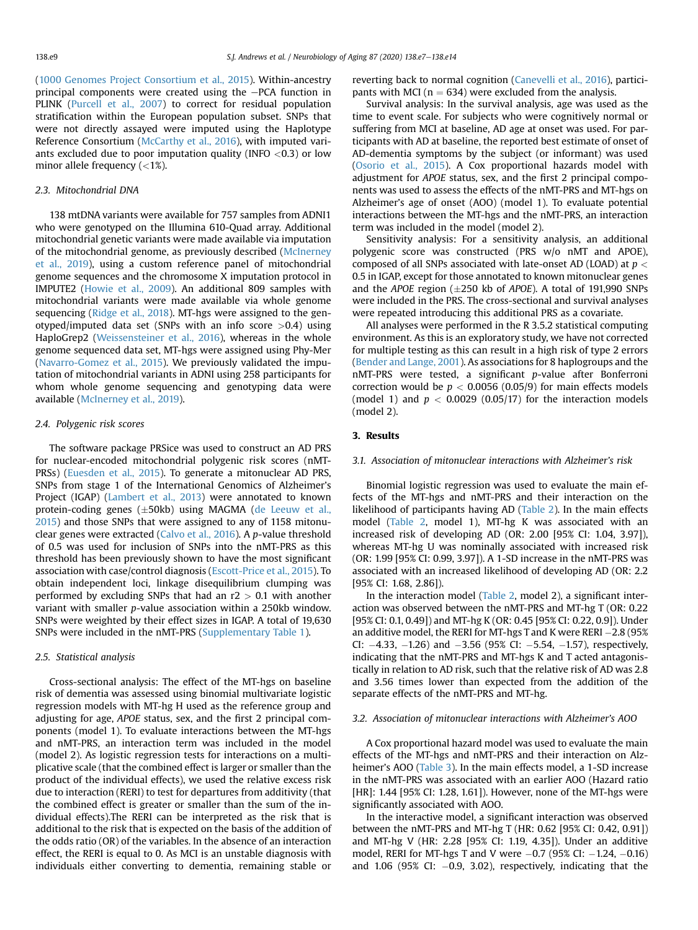[\(1000 Genomes Project Consortium et al., 2015](#page-6-2)). Within-ancestry principal components were created using the  $-PCA$  function in PLINK ([Purcell et al., 2007](#page-7-8)) to correct for residual population stratification within the European population subset. SNPs that were not directly assayed were imputed using the Haplotype Reference Consortium [\(McCarthy et al., 2016\)](#page-7-9), with imputed variants excluded due to poor imputation quality (INFO  $<$  0.3) or low minor allele frequency  $\left( < 1\% \right)$ .

### 2.3. Mitochondrial DNA

138 mtDNA variants were available for 757 samples from ADNI1 who were genotyped on the Illumina 610-Quad array. Additional mitochondrial genetic variants were made available via imputation of the mitochondrial genome, as previously described [\(McInerney](#page-7-10) [et al., 2019](#page-7-10)), using a custom reference panel of mitochondrial genome sequences and the chromosome X imputation protocol in IMPUTE2 ([Howie et al., 2009\)](#page-6-3). An additional 809 samples with mitochondrial variants were made available via whole genome sequencing ([Ridge et al., 2018\)](#page-7-11). MT-hgs were assigned to the genotyped/imputed data set (SNPs with an info score  $>0.4$ ) using HaploGrep2 [\(Weissensteiner et al., 2016\)](#page-7-12), whereas in the whole genome sequenced data set, MT-hgs were assigned using Phy-Mer [\(Navarro-Gomez et al., 2015](#page-7-13)). We previously validated the imputation of mitochondrial variants in ADNI using 258 participants for whom whole genome sequencing and genotyping data were available ([McInerney et al., 2019](#page-7-10)).

# 2.4. Polygenic risk scores

The software package PRSice was used to construct an AD PRS for nuclear-encoded mitochondrial polygenic risk scores (nMT-PRSs) [\(Euesden et al., 2015](#page-5-4)). To generate a mitonuclear AD PRS, SNPs from stage 1 of the International Genomics of Alzheimer's Project (IGAP) ([Lambert et al., 2013](#page-6-4)) were annotated to known protein-coding genes  $(\pm 50kb)$  using MAGMA ([de Leeuw et al.,](#page-5-5) [2015](#page-5-5)) and those SNPs that were assigned to any of 1158 mitonuclear genes were extracted ([Calvo et al., 2016](#page-5-0)). A p-value threshold of 0.5 was used for inclusion of SNPs into the nMT-PRS as this threshold has been previously shown to have the most significant association with case/control diagnosis [\(Escott-Price et al., 2015](#page-5-6)). To obtain independent loci, linkage disequilibrium clumping was performed by excluding SNPs that had an  $r2 > 0.1$  with another variant with smaller p-value association within a 250kb window. SNPs were weighted by their effect sizes in IGAP. A total of 19,630 SNPs were included in the nMT-PRS (Supplementary Table 1).

# 2.5. Statistical analysis

Cross-sectional analysis: The effect of the MT-hgs on baseline risk of dementia was assessed using binomial multivariate logistic regression models with MT-hg H used as the reference group and adjusting for age, APOE status, sex, and the first 2 principal components (model 1). To evaluate interactions between the MT-hgs and nMT-PRS, an interaction term was included in the model (model 2). As logistic regression tests for interactions on a multiplicative scale (that the combined effect is larger or smaller than the product of the individual effects), we used the relative excess risk due to interaction (RERI) to test for departures from additivity (that the combined effect is greater or smaller than the sum of the individual effects).The RERI can be interpreted as the risk that is additional to the risk that is expected on the basis of the addition of the odds ratio (OR) of the variables. In the absence of an interaction effect, the RERI is equal to 0. As MCI is an unstable diagnosis with individuals either converting to dementia, remaining stable or

reverting back to normal cognition [\(Canevelli et al., 2016](#page-5-7)), participants with MCI ( $n = 634$ ) were excluded from the analysis.

Survival analysis: In the survival analysis, age was used as the time to event scale. For subjects who were cognitively normal or suffering from MCI at baseline, AD age at onset was used. For participants with AD at baseline, the reported best estimate of onset of AD-dementia symptoms by the subject (or informant) was used ([Osorio et al., 2015\)](#page-7-14). A Cox proportional hazards model with adjustment for APOE status, sex, and the first 2 principal components was used to assess the effects of the nMT-PRS and MT-hgs on Alzheimer's age of onset (AOO) (model 1). To evaluate potential interactions between the MT-hgs and the nMT-PRS, an interaction term was included in the model (model 2).

Sensitivity analysis: For a sensitivity analysis, an additional polygenic score was constructed (PRS w/o nMT and APOE), composed of all SNPs associated with late-onset AD (LOAD) at  $p <$ 0.5 in IGAP, except for those annotated to known mitonuclear genes and the APOE region  $(\pm 250 \text{ kb of } APOE)$ . A total of 191,990 SNPs were included in the PRS. The cross-sectional and survival analyses were repeated introducing this additional PRS as a covariate.

All analyses were performed in the R 3.5.2 statistical computing environment. As this is an exploratory study, we have not corrected for multiple testing as this can result in a high risk of type 2 errors ([Bender and Lange, 2001\)](#page-5-8). As associations for 8 haplogroups and the nMT-PRS were tested, a significant p-value after Bonferroni correction would be  $p < 0.0056$  (0.05/9) for main effects models (model 1) and  $p < 0.0029$  (0.05/17) for the interaction models (model 2).

## 3. Results

#### 3.1. Association of mitonuclear interactions with Alzheimer's risk

Binomial logistic regression was used to evaluate the main effects of the MT-hgs and nMT-PRS and their interaction on the likelihood of participants having AD [\(Table 2\)](#page-3-0). In the main effects model [\(Table 2](#page-3-0), model 1), MT-hg K was associated with an increased risk of developing AD (OR: 2.00 [95% CI: 1.04, 3.97]), whereas MT-hg U was nominally associated with increased risk (OR: 1.99 [95% CI: 0.99, 3.97]). A 1-SD increase in the nMT-PRS was associated with an increased likelihood of developing AD (OR: 2.2 [95% CI: 1.68, 2.86]).

In the interaction model ([Table 2,](#page-3-0) model 2), a significant interaction was observed between the nMT-PRS and MT-hg T (OR: 0.22 [95% CI: 0.1, 0.49]) and MT-hg K (OR: 0.45 [95% CI: 0.22, 0.9]). Under an additive model, the RERI for MT-hgs T and K were RERI  $-2.8$  (95%) CI:  $-4.33$ ,  $-1.26$ ) and  $-3.56$  (95% CI:  $-5.54$ ,  $-1.57$ ), respectively, indicating that the nMT-PRS and MT-hgs K and T acted antagonistically in relation to AD risk, such that the relative risk of AD was 2.8 and 3.56 times lower than expected from the addition of the separate effects of the nMT-PRS and MT-hg.

# 3.2. Association of mitonuclear interactions with Alzheimer's AOO

A Cox proportional hazard model was used to evaluate the main effects of the MT-hgs and nMT-PRS and their interaction on Alz-heimer's AOO [\(Table 3](#page-3-1)). In the main effects model, a 1-SD increase in the nMT-PRS was associated with an earlier AOO (Hazard ratio [HR]: 1.44 [95% CI: 1.28, 1.61]). However, none of the MT-hgs were significantly associated with AOO.

In the interactive model, a significant interaction was observed between the nMT-PRS and MT-hg T (HR: 0.62 [95% CI: 0.42, 0.91]) and MT-hg V (HR: 2.28 [95% CI: 1.19, 4.35]). Under an additive model, RERI for MT-hgs T and V were  $-0.7$  (95% CI:  $-1.24$ ,  $-0.16$ ) and 1.06 (95% CI:  $-0.9$ , 3.02), respectively, indicating that the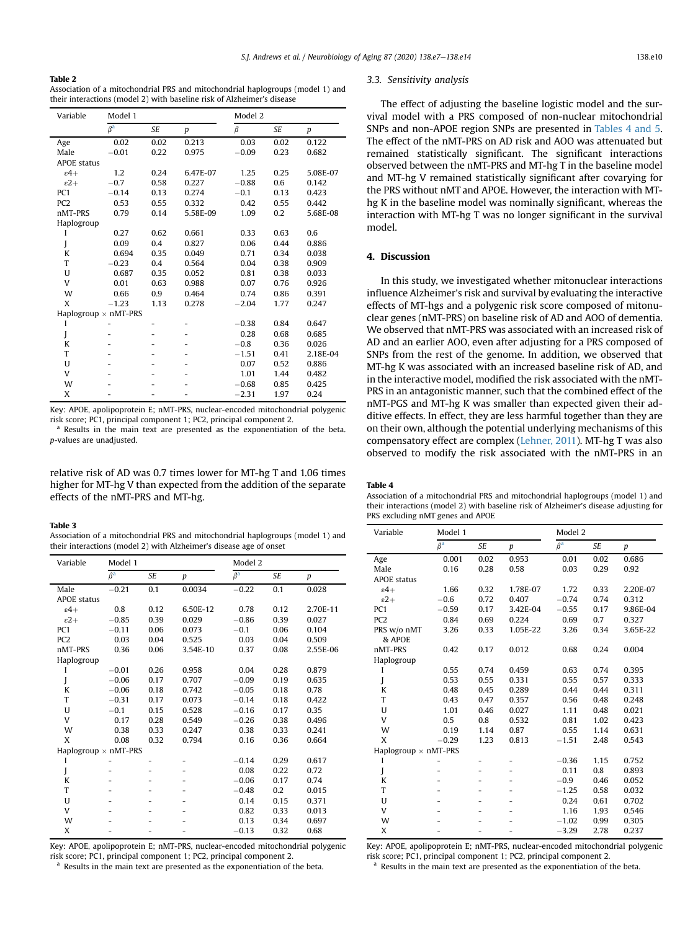#### <span id="page-3-0"></span>Table 2

Association of a mitochondrial PRS and mitochondrial haplogroups (model 1) and their interactions (model 2) with baseline risk of Alzheimer's disease

| Variable                    | Model 1              |      |          | Model 2 |      |          |
|-----------------------------|----------------------|------|----------|---------|------|----------|
|                             | $\beta$ <sup>a</sup> | SE   | p        | $\beta$ | SE   | p        |
| Age                         | 0.02                 | 0.02 | 0.213    | 0.03    | 0.02 | 0.122    |
| Male                        | $-0.01$              | 0.22 | 0.975    | $-0.09$ | 0.23 | 0.682    |
| <b>APOE</b> status          |                      |      |          |         |      |          |
| $\varepsilon$ 4+            | 1.2                  | 0.24 | 6.47E-07 | 1.25    | 0.25 | 5.08E-07 |
| $\varepsilon$ 2+            | $-0.7$               | 0.58 | 0.227    | $-0.88$ | 0.6  | 0.142    |
| PC <sub>1</sub>             | $-0.14$              | 0.13 | 0.274    | $-0.1$  | 0.13 | 0.423    |
| PC <sub>2</sub>             | 0.53                 | 0.55 | 0.332    | 0.42    | 0.55 | 0.442    |
| nMT-PRS                     | 0.79                 | 0.14 | 5.58E-09 | 1.09    | 0.2  | 5.68E-08 |
| Haplogroup                  |                      |      |          |         |      |          |
| I                           | 0.27                 | 0.62 | 0.661    | 0.33    | 0.63 | 0.6      |
| J                           | 0.09                 | 0.4  | 0.827    | 0.06    | 0.44 | 0.886    |
| K                           | 0.694                | 0.35 | 0.049    | 0.71    | 0.34 | 0.038    |
| T                           | $-0.23$              | 0.4  | 0.564    | 0.04    | 0.38 | 0.909    |
| U                           | 0.687                | 0.35 | 0.052    | 0.81    | 0.38 | 0.033    |
| V                           | 0.01                 | 0.63 | 0.988    | 0.07    | 0.76 | 0.926    |
| W                           | 0.66                 | 0.9  | 0.464    | 0.74    | 0.86 | 0.391    |
| X                           | $-1.23$              | 1.13 | 0.278    | $-2.04$ | 1.77 | 0.247    |
| Haplogroup $\times$ nMT-PRS |                      |      |          |         |      |          |
| I                           |                      |      |          | $-0.38$ | 0.84 | 0.647    |
| J                           |                      |      |          | 0.28    | 0.68 | 0.685    |
| K                           |                      |      |          | $-0.8$  | 0.36 | 0.026    |
| T                           |                      |      |          | $-1.51$ | 0.41 | 2.18E-04 |
| U                           |                      |      |          | 0.07    | 0.52 | 0.886    |
| V                           |                      |      |          | 1.01    | 1.44 | 0.482    |
| W                           |                      |      |          | $-0.68$ | 0.85 | 0.425    |
| X                           |                      |      |          | $-2.31$ | 1.97 | 0.24     |

Key: APOE, apolipoprotein E; nMT-PRS, nuclear-encoded mitochondrial polygenic risk score; PC1, principal component 1; PC2, principal component 2.

Results in the main text are presented as the exponentiation of the beta. p-values are unadjusted.

relative risk of AD was 0.7 times lower for MT-hg T and 1.06 times higher for MT-hg V than expected from the addition of the separate effects of the nMT-PRS and MT-hg.

#### <span id="page-3-1"></span>Table 3

Association of a mitochondrial PRS and mitochondrial haplogroups (model 1) and their interactions (model 2) with Alzheimer's disease age of onset

| Variable                    | Model 1              |      |          | Model 2              |      |          |
|-----------------------------|----------------------|------|----------|----------------------|------|----------|
|                             | $\beta$ <sup>a</sup> | SE   | p        | $\beta$ <sup>a</sup> | SE   | p        |
| Male                        | $-0.21$              | 0.1  | 0.0034   | $-0.22$              | 0.1  | 0.028    |
| <b>APOE</b> status          |                      |      |          |                      |      |          |
| $\varepsilon$ 4+            | 0.8                  | 0.12 | 6.50E-12 | 0.78                 | 0.12 | 2.70E-11 |
| $\varepsilon$ 2+            | $-0.85$              | 0.39 | 0.029    | $-0.86$              | 0.39 | 0.027    |
| PC <sub>1</sub>             | $-0.11$              | 0.06 | 0.073    | $-0.1$               | 0.06 | 0.104    |
| PC <sub>2</sub>             | 0.03                 | 0.04 | 0.525    | 0.03                 | 0.04 | 0.509    |
| nMT-PRS                     | 0.36                 | 0.06 | 3.54E-10 | 0.37                 | 0.08 | 2.55E-06 |
| Haplogroup                  |                      |      |          |                      |      |          |
| I                           | $-0.01$              | 0.26 | 0.958    | 0.04                 | 0.28 | 0.879    |
| J                           | $-0.06$              | 0.17 | 0.707    | $-0.09$              | 0.19 | 0.635    |
| K                           | $-0.06$              | 0.18 | 0.742    | $-0.05$              | 0.18 | 0.78     |
| T                           | $-0.31$              | 0.17 | 0.073    | $-0.14$              | 0.18 | 0.422    |
| U                           | $-0.1$               | 0.15 | 0.528    | $-0.16$              | 0.17 | 0.35     |
| V                           | 0.17                 | 0.28 | 0.549    | $-0.26$              | 0.38 | 0.496    |
| W                           | 0.38                 | 0.33 | 0.247    | 0.38                 | 0.33 | 0.241    |
| X                           | 0.08                 | 0.32 | 0.794    | 0.16                 | 0.36 | 0.664    |
| Haplogroup $\times$ nMT-PRS |                      |      |          |                      |      |          |
| I                           |                      |      |          | $-0.14$              | 0.29 | 0.617    |
| J                           |                      |      |          | 0.08                 | 0.22 | 0.72     |
| K                           |                      |      |          | $-0.06$              | 0.17 | 0.74     |
| T                           |                      |      |          | $-0.48$              | 0.2  | 0.015    |
| U                           |                      |      |          | 0.14                 | 0.15 | 0.371    |
| V                           |                      |      |          | 0.82                 | 0.33 | 0.013    |
| W                           |                      |      |          | 0.13                 | 0.34 | 0.697    |
| X                           |                      |      |          | $-0.13$              | 0.32 | 0.68     |

Key: APOE, apolipoprotein E; nMT-PRS, nuclear-encoded mitochondrial polygenic risk score; PC1, principal component 1; PC2, principal component 2.

Results in the main text are presented as the exponentiation of the beta.

## 3.3. Sensitivity analysis

The effect of adjusting the baseline logistic model and the survival model with a PRS composed of non-nuclear mitochondrial SNPs and non-APOE region SNPs are presented in [Tables 4 and 5.](#page-3-2) The effect of the nMT-PRS on AD risk and AOO was attenuated but remained statistically significant. The significant interactions observed between the nMT-PRS and MT-hg T in the baseline model and MT-hg V remained statistically significant after covarying for the PRS without nMT and APOE. However, the interaction with MThg K in the baseline model was nominally significant, whereas the interaction with MT-hg T was no longer significant in the survival model.

# 4. Discussion

In this study, we investigated whether mitonuclear interactions influence Alzheimer's risk and survival by evaluating the interactive effects of MT-hgs and a polygenic risk score composed of mitonuclear genes (nMT-PRS) on baseline risk of AD and AOO of dementia. We observed that nMT-PRS was associated with an increased risk of AD and an earlier AOO, even after adjusting for a PRS composed of SNPs from the rest of the genome. In addition, we observed that MT-hg K was associated with an increased baseline risk of AD, and in the interactive model, modified the risk associated with the nMT-PRS in an antagonistic manner, such that the combined effect of the nMT-PGS and MT-hg K was smaller than expected given their additive effects. In effect, they are less harmful together than they are on their own, although the potential underlying mechanisms of this compensatory effect are complex ([Lehner, 2011\)](#page-7-15). MT-hg T was also observed to modify the risk associated with the nMT-PRS in an

#### <span id="page-3-2"></span>Table 4

Association of a mitochondrial PRS and mitochondrial haplogroups (model 1) and their interactions (model 2) with baseline risk of Alzheimer's disease adjusting for PRS excluding nMT genes and APOE

| Variable                    | Model 1              |           |          | Model 2              |           |          |
|-----------------------------|----------------------|-----------|----------|----------------------|-----------|----------|
|                             | $\beta$ <sup>a</sup> | <b>SE</b> | p        | $\beta$ <sup>a</sup> | <b>SE</b> | p        |
| Age                         | 0.001                | 0.02      | 0.953    | 0.01                 | 0.02      | 0.686    |
| Male                        | 0.16                 | 0.28      | 0.58     | 0.03                 | 0.29      | 0.92     |
| <b>APOE</b> status          |                      |           |          |                      |           |          |
| $\varepsilon$ 4+            | 1.66                 | 0.32      | 1.78E-07 | 1.72                 | 0.33      | 2.20E-07 |
| $\varepsilon$ 2+            | $-0.6$               | 0.72      | 0.407    | $-0.74$              | 0.74      | 0.312    |
| PC <sub>1</sub>             | $-0.59$              | 0.17      | 3.42E-04 | $-0.55$              | 0.17      | 9.86E-04 |
| PC <sub>2</sub>             | 0.84                 | 0.69      | 0.224    | 0.69                 | 0.7       | 0.327    |
| PRS w/o nMT<br>& APOE       | 3.26                 | 0.33      | 1.05E-22 | 3.26                 | 0.34      | 3.65E-22 |
| nMT-PRS                     | 0.42                 | 0.17      | 0.012    | 0.68                 | 0.24      | 0.004    |
| Haplogroup                  |                      |           |          |                      |           |          |
| I                           | 0.55                 | 0.74      | 0.459    | 0.63                 | 0.74      | 0.395    |
| J                           | 0.53                 | 0.55      | 0.331    | 0.55                 | 0.57      | 0.333    |
| K                           | 0.48                 | 0.45      | 0.289    | 0.44                 | 0.44      | 0.311    |
| T                           | 0.43                 | 0.47      | 0.357    | 0.56                 | 0.48      | 0.248    |
| U                           | 1.01                 | 0.46      | 0.027    | 1.11                 | 0.48      | 0.021    |
| V                           | 0.5                  | 0.8       | 0.532    | 0.81                 | 1.02      | 0.423    |
| W                           | 0.19                 | 1.14      | 0.87     | 0.55                 | 1.14      | 0.631    |
| X                           | $-0.29$              | 1.23      | 0.813    | $-1.51$              | 2.48      | 0.543    |
| Haplogroup $\times$ nMT-PRS |                      |           |          |                      |           |          |
| I                           |                      |           |          | $-0.36$              | 1.15      | 0.752    |
| J                           |                      |           |          | 0.11                 | 0.8       | 0.893    |
| K                           |                      |           |          | $-0.9$               | 0.46      | 0.052    |
| T                           |                      |           |          | $-1.25$              | 0.58      | 0.032    |
| U                           |                      |           |          | 0.24                 | 0.61      | 0.702    |
| V                           |                      |           |          | 1.16                 | 1.93      | 0.546    |
| W                           |                      |           |          | $-1.02$              | 0.99      | 0.305    |
| X                           |                      |           |          | $-3.29$              | 2.78      | 0.237    |

Key: APOE, apolipoprotein E; nMT-PRS, nuclear-encoded mitochondrial polygenic risk score; PC1, principal component 1; PC2, principal component 2.

Results in the main text are presented as the exponentiation of the beta.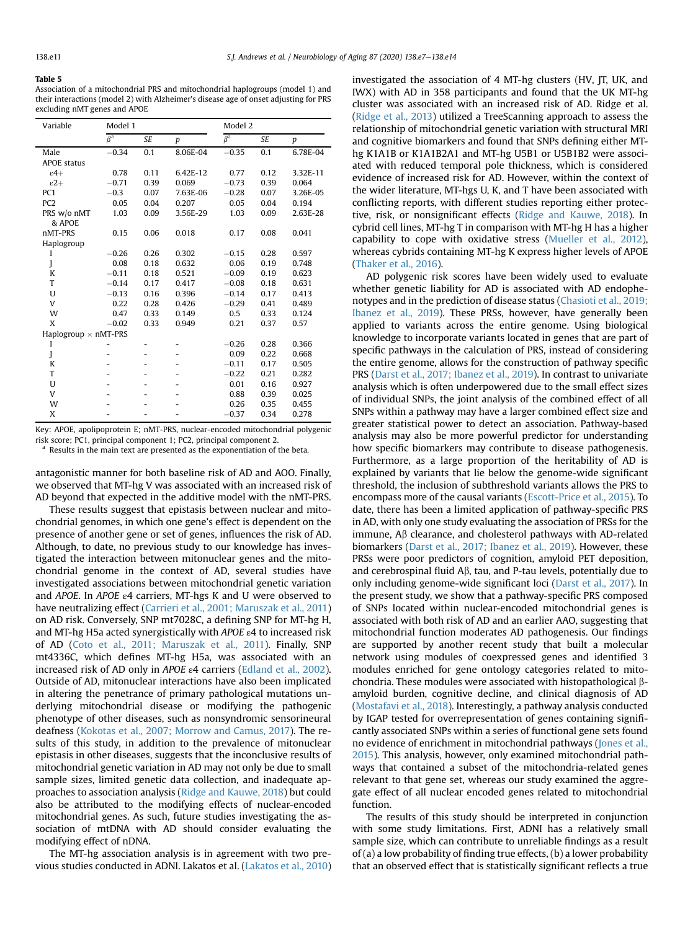#### Table 5

Association of a mitochondrial PRS and mitochondrial haplogroups (model 1) and their interactions (model 2) with Alzheimer's disease age of onset adjusting for PRS excluding nMT genes and APOE

| Variable                    | Model 1              |           |                   | Model 2              |           |                  |  |
|-----------------------------|----------------------|-----------|-------------------|----------------------|-----------|------------------|--|
|                             | $\overline{\beta^a}$ | <b>SE</b> | p                 | $\overline{\beta^a}$ | <b>SE</b> | $\boldsymbol{p}$ |  |
| Male                        | $-0.34$              | 0.1       | 8.06E-04          | $-0.35$              | 0.1       | 6.78E-04         |  |
| <b>APOE</b> status          |                      |           |                   |                      |           |                  |  |
| $\varepsilon$ 4+            | 0.78                 | 0.11      | 6.42E-12          | 0.77                 | 0.12      | 3.32E-11         |  |
| $\varepsilon$ 2+            | $-0.71$              | 0.39      | 0.069             | $-0.73$              | 0.39      | 0.064            |  |
| PC <sub>1</sub>             | $-0.3$               | 0.07      | 7.63E-06          | $-0.28$              | 0.07      | 3.26E-05         |  |
| PC <sub>2</sub>             | 0.05                 | 0.04      | 0.207             | 0.05                 | 0.04      | 0.194            |  |
| PRS w/o nMT                 | 1.03                 | 0.09      | 3.56E-29          | 1.03                 | 0.09      | 2.63E-28         |  |
| & APOE                      |                      |           |                   |                      |           |                  |  |
| nMT-PRS                     | 0.15                 | 0.06      | 0.018             | 0.17                 | 0.08      | 0.041            |  |
| Haplogroup                  |                      |           |                   |                      |           |                  |  |
| I                           | $-0.26$              | 0.26      | 0.302             | $-0.15$              | 0.28      | 0.597            |  |
| J                           | 0.08                 | 0.18      | 0.632             | 0.06                 | 0.19      | 0.748            |  |
| K                           | $-0.11$              | 0.18      | 0.521             | $-0.09$              | 0.19      | 0.623            |  |
| T                           | $-0.14$              | 0.17      | 0.417             | $-0.08$              | 0.18      | 0.631            |  |
| U                           | $-0.13$              | 0.16      | 0.396             | $-0.14$              | 0.17      | 0.413            |  |
| V                           | 0.22                 | 0.28      | 0.426             | $-0.29$              | 0.41      | 0.489            |  |
| W                           | 0.47                 | 0.33      | 0.149             | 0.5                  | 0.33      | 0.124            |  |
| X                           | $-0.02$              | 0.33      | 0.949             | 0.21                 | 0.37      | 0.57             |  |
| Haplogroup $\times$ nMT-PRS |                      |           |                   |                      |           |                  |  |
| I                           |                      |           |                   | $-0.26$              | 0.28      | 0.366            |  |
| J                           |                      |           |                   | 0.09                 | 0.22      | 0.668            |  |
| K                           |                      |           |                   | $-0.11$              | 0.17      | 0.505            |  |
| T                           |                      |           |                   | $-0.22$              | 0.21      | 0.282            |  |
| U                           |                      |           |                   | 0.01                 | 0.16      | 0.927            |  |
| V                           |                      |           |                   | 0.88                 | 0.39      | 0.025            |  |
| W                           |                      |           |                   | 0.26                 | 0.35      | 0.455            |  |
| X                           |                      |           | $\qquad \qquad -$ | $-0.37$              | 0.34      | 0.278            |  |
|                             |                      |           |                   |                      |           |                  |  |

Key: APOE, apolipoprotein E; nMT-PRS, nuclear-encoded mitochondrial polygenic risk score; PC1, principal component 1; PC2, principal component 2.

Results in the main text are presented as the exponentiation of the beta.

antagonistic manner for both baseline risk of AD and AOO. Finally, we observed that MT-hg V was associated with an increased risk of AD beyond that expected in the additive model with the nMT-PRS.

These results suggest that epistasis between nuclear and mitochondrial genomes, in which one gene's effect is dependent on the presence of another gene or set of genes, influences the risk of AD. Although, to date, no previous study to our knowledge has investigated the interaction between mitonuclear genes and the mitochondrial genome in the context of AD, several studies have investigated associations between mitochondrial genetic variation and APOE. In APOE ε4 carriers, MT-hgs K and U were observed to have neutralizing effect ([Carrieri et al., 2001; Maruszak et al., 2011\)](#page-5-9) on AD risk. Conversely, SNP mt7028C, a defining SNP for MT-hg H, and MT-hg H5a acted synergistically with APOE ε4 to increased risk of AD ([Coto et al., 2011; Maruszak et al., 2011](#page-5-10)). Finally, SNP mt4336C, which defines MT-hg H5a, was associated with an increased risk of AD only in APOE ε4 carriers ([Edland et al., 2002\)](#page-5-11). Outside of AD, mitonuclear interactions have also been implicated in altering the penetrance of primary pathological mutations underlying mitochondrial disease or modifying the pathogenic phenotype of other diseases, such as nonsyndromic sensorineural deafness ([Kokotas et al., 2007; Morrow and Camus, 2017\)](#page-6-5). The results of this study, in addition to the prevalence of mitonuclear epistasis in other diseases, suggests that the inconclusive results of mitochondrial genetic variation in AD may not only be due to small sample sizes, limited genetic data collection, and inadequate approaches to association analysis [\(Ridge and Kauwe, 2018](#page-7-6)) but could also be attributed to the modifying effects of nuclear-encoded mitochondrial genes. As such, future studies investigating the association of mtDNA with AD should consider evaluating the modifying effect of nDNA.

The MT-hg association analysis is in agreement with two previous studies conducted in ADNI. Lakatos et al. ([Lakatos et al., 2010\)](#page-6-6) investigated the association of 4 MT-hg clusters (HV, JT, UK, and IWX) with AD in 358 participants and found that the UK MT-hg cluster was associated with an increased risk of AD. Ridge et al. ([Ridge et al., 2013](#page-7-16)) utilized a TreeScanning approach to assess the relationship of mitochondrial genetic variation with structural MRI and cognitive biomarkers and found that SNPs defining either MThg K1A1B or K1A1B2A1 and MT-hg U5B1 or U5B1B2 were associated with reduced temporal pole thickness, which is considered evidence of increased risk for AD. However, within the context of the wider literature, MT-hgs U, K, and T have been associated with conflicting reports, with different studies reporting either protective, risk, or nonsignificant effects ([Ridge and Kauwe, 2018\)](#page-7-6). In cybrid cell lines, MT-hg T in comparison with MT-hg H has a higher capability to cope with oxidative stress ([Mueller et al., 2012\)](#page-7-17), whereas cybrids containing MT-hg K express higher levels of APOE ([Thaker et al., 2016](#page-7-18)).

AD polygenic risk scores have been widely used to evaluate whether genetic liability for AD is associated with AD endophenotypes and in the prediction of disease status [\(Chasioti et al., 2019;](#page-5-12) [Ibanez et al., 2019\)](#page-5-12). These PRSs, however, have generally been applied to variants across the entire genome. Using biological knowledge to incorporate variants located in genes that are part of specific pathways in the calculation of PRS, instead of considering the entire genome, allows for the construction of pathway specific PRS [\(Darst et al., 2017; Ibanez et al., 2019\)](#page-5-13). In contrast to univariate analysis which is often underpowered due to the small effect sizes of individual SNPs, the joint analysis of the combined effect of all SNPs within a pathway may have a larger combined effect size and greater statistical power to detect an association. Pathway-based analysis may also be more powerful predictor for understanding how specific biomarkers may contribute to disease pathogenesis. Furthermore, as a large proportion of the heritability of AD is explained by variants that lie below the genome-wide significant threshold, the inclusion of subthreshold variants allows the PRS to encompass more of the causal variants [\(Escott-Price et al., 2015\)](#page-5-6). To date, there has been a limited application of pathway-specific PRS in AD, with only one study evaluating the association of PRSs for the immune,  $A\beta$  clearance, and cholesterol pathways with AD-related biomarkers [\(Darst et al., 2017; Ibanez et al., 2019\)](#page-5-13). However, these PRSs were poor predictors of cognition, amyloid PET deposition, and cerebrospinal fluid  $A\beta$ , tau, and P-tau levels, potentially due to only including genome-wide significant loci ([Darst et al., 2017](#page-5-13)). In the present study, we show that a pathway-specific PRS composed of SNPs located within nuclear-encoded mitochondrial genes is associated with both risk of AD and an earlier AAO, suggesting that mitochondrial function moderates AD pathogenesis. Our findings are supported by another recent study that built a molecular network using modules of coexpressed genes and identified 3 modules enriched for gene ontology categories related to mitochondria. These modules were associated with histopathological  $\beta$ amyloid burden, cognitive decline, and clinical diagnosis of AD ([Mostafavi et al., 2018](#page-7-19)). Interestingly, a pathway analysis conducted by IGAP tested for overrepresentation of genes containing significantly associated SNPs within a series of functional gene sets found no evidence of enrichment in mitochondrial pathways [\(Jones et al.,](#page-6-7) [2015\)](#page-6-7). This analysis, however, only examined mitochondrial pathways that contained a subset of the mitochondria-related genes relevant to that gene set, whereas our study examined the aggregate effect of all nuclear encoded genes related to mitochondrial function.

The results of this study should be interpreted in conjunction with some study limitations. First, ADNI has a relatively small sample size, which can contribute to unreliable findings as a result of (a) a low probability of finding true effects, (b) a lower probability that an observed effect that is statistically significant reflects a true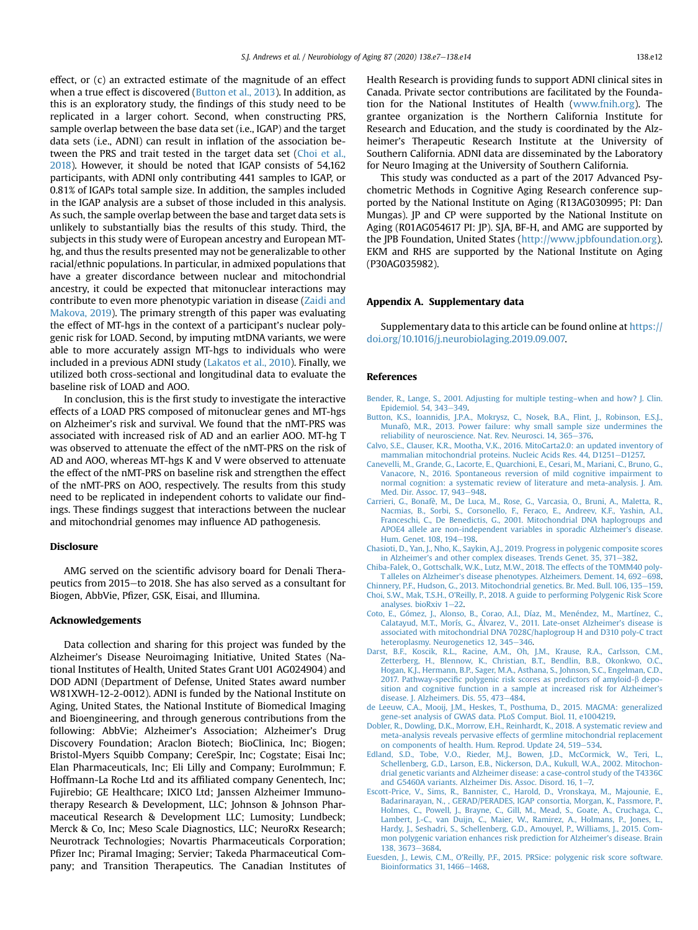effect, or (c) an extracted estimate of the magnitude of an effect when a true effect is discovered ([Button et al., 2013](#page-5-14)). In addition, as this is an exploratory study, the findings of this study need to be replicated in a larger cohort. Second, when constructing PRS, sample overlap between the base data set (i.e., IGAP) and the target data sets (i.e., ADNI) can result in inflation of the association between the PRS and trait tested in the target data set [\(Choi et al.,](#page-5-15) [2018\)](#page-5-15). However, it should be noted that IGAP consists of 54,162 participants, with ADNI only contributing 441 samples to IGAP, or 0.81% of IGAPs total sample size. In addition, the samples included in the IGAP analysis are a subset of those included in this analysis. As such, the sample overlap between the base and target data sets is unlikely to substantially bias the results of this study. Third, the subjects in this study were of European ancestry and European MThg, and thus the results presented may not be generalizable to other racial/ethnic populations. In particular, in admixed populations that have a greater discordance between nuclear and mitochondrial ancestry, it could be expected that mitonuclear interactions may contribute to even more phenotypic variation in disease [\(Zaidi and](#page-7-4) [Makova, 2019\)](#page-7-4). The primary strength of this paper was evaluating the effect of MT-hgs in the context of a participant's nuclear polygenic risk for LOAD. Second, by imputing mtDNA variants, we were able to more accurately assign MT-hgs to individuals who were included in a previous ADNI study [\(Lakatos et al., 2010](#page-6-6)). Finally, we utilized both cross-sectional and longitudinal data to evaluate the baseline risk of LOAD and AOO.

In conclusion, this is the first study to investigate the interactive effects of a LOAD PRS composed of mitonuclear genes and MT-hgs on Alzheimer's risk and survival. We found that the nMT-PRS was associated with increased risk of AD and an earlier AOO. MT-hg T was observed to attenuate the effect of the nMT-PRS on the risk of AD and AOO, whereas MT-hgs K and V were observed to attenuate the effect of the nMT-PRS on baseline risk and strengthen the effect of the nMT-PRS on AOO, respectively. The results from this study need to be replicated in independent cohorts to validate our findings. These findings suggest that interactions between the nuclear and mitochondrial genomes may influence AD pathogenesis.

# Disclosure

AMG served on the scientific advisory board for Denali Therapeutics from 2015-to 2018. She has also served as a consultant for Biogen, AbbVie, Pfizer, GSK, Eisai, and Illumina.

## Acknowledgements

Data collection and sharing for this project was funded by the Alzheimer's Disease Neuroimaging Initiative, United States (National Institutes of Health, United States Grant U01 AG024904) and DOD ADNI (Department of Defense, United States award number W81XWH-12-2-0012). ADNI is funded by the National Institute on Aging, United States, the National Institute of Biomedical Imaging and Bioengineering, and through generous contributions from the following: AbbVie; Alzheimer's Association; Alzheimer's Drug Discovery Foundation; Araclon Biotech; BioClinica, Inc; Biogen; Bristol-Myers Squibb Company; CereSpir, Inc; Cogstate; Eisai Inc; Elan Pharmaceuticals, Inc; Eli Lilly and Company; EuroImmun; F. Hoffmann-La Roche Ltd and its affiliated company Genentech, Inc; Fujirebio; GE Healthcare; IXICO Ltd; Janssen Alzheimer Immunotherapy Research & Development, LLC; Johnson & Johnson Pharmaceutical Research & Development LLC; Lumosity; Lundbeck; Merck & Co, Inc; Meso Scale Diagnostics, LLC; NeuroRx Research; Neurotrack Technologies; Novartis Pharmaceuticals Corporation; Pfizer Inc; Piramal Imaging; Servier; Takeda Pharmaceutical Company; and Transition Therapeutics. The Canadian Institutes of Health Research is providing funds to support ADNI clinical sites in Canada. Private sector contributions are facilitated by the Foundation for the National Institutes of Health ([www.fnih.org](http://www.fnih.org)). The grantee organization is the Northern California Institute for Research and Education, and the study is coordinated by the Alzheimer's Therapeutic Research Institute at the University of Southern California. ADNI data are disseminated by the Laboratory for Neuro Imaging at the University of Southern California.

This study was conducted as a part of the 2017 Advanced Psychometric Methods in Cognitive Aging Research conference supported by the National Institute on Aging (R13AG030995; PI: Dan Mungas). JP and CP were supported by the National Institute on Aging (R01AG054617 PI: JP). SJA, BF-H, and AMG are supported by the JPB Foundation, United States ([http://www.jpbfoundation.org\)](http://www.jpbfoundation.org). EKM and RHS are supported by the National Institute on Aging (P30AG035982).

## Appendix A. Supplementary data

Supplementary data to this article can be found online at [https://](https://doi.org/10.1016/j.neurobiolaging.2019.09.007) [doi.org/10.1016/j.neurobiolaging.2019.09.007.](https://doi.org/10.1016/j.neurobiolaging.2019.09.007)

#### <span id="page-5-8"></span>References

- <span id="page-5-14"></span>[Bender, R., Lange, S., 2001. Adjusting for multiple testing](http://refhub.elsevier.com/S0197-4580(19)30328-8/sref1)–when and how? J. Clin. [Epidemiol. 54, 343](http://refhub.elsevier.com/S0197-4580(19)30328-8/sref1)-[349.](http://refhub.elsevier.com/S0197-4580(19)30328-8/sref1)
- <span id="page-5-0"></span>[Button, K.S., Ioannidis, J.P.A., Mokrysz, C., Nosek, B.A., Flint, J., Robinson, E.S.J.,](http://refhub.elsevier.com/S0197-4580(19)30328-8/sref2) [Munafò, M.R., 2013. Power failure: why small sample size undermines the](http://refhub.elsevier.com/S0197-4580(19)30328-8/sref2) [reliability of neuroscience. Nat. Rev. Neurosci. 14, 365](http://refhub.elsevier.com/S0197-4580(19)30328-8/sref2)-[376](http://refhub.elsevier.com/S0197-4580(19)30328-8/sref2).
- <span id="page-5-7"></span>[Calvo, S.E., Clauser, K.R., Mootha, V.K., 2016. MitoCarta2.0: an updated inventory of](http://refhub.elsevier.com/S0197-4580(19)30328-8/sref3) [mammalian mitochondrial proteins. Nucleic Acids Res. 44, D1251](http://refhub.elsevier.com/S0197-4580(19)30328-8/sref3)-[D1257.](http://refhub.elsevier.com/S0197-4580(19)30328-8/sref3)
- <span id="page-5-9"></span>[Canevelli, M., Grande, G., Lacorte, E., Quarchioni, E., Cesari, M., Mariani, C., Bruno, G.,](http://refhub.elsevier.com/S0197-4580(19)30328-8/sref4) [Vanacore, N., 2016. Spontaneous reversion of mild cognitive impairment to](http://refhub.elsevier.com/S0197-4580(19)30328-8/sref4) [normal cognition: a systematic review of literature and meta-analysis. J. Am.](http://refhub.elsevier.com/S0197-4580(19)30328-8/sref4) [Med. Dir. Assoc. 17, 943](http://refhub.elsevier.com/S0197-4580(19)30328-8/sref4)-[948](http://refhub.elsevier.com/S0197-4580(19)30328-8/sref4).
- <span id="page-5-12"></span>[Carrieri, G., Bonafè, M., De Luca, M., Rose, G., Varcasia, O., Bruni, A., Maletta, R.,](http://refhub.elsevier.com/S0197-4580(19)30328-8/sref5) [Nacmias, B., Sorbi, S., Corsonello, F., Feraco, E., Andreev, K.F., Yashin, A.I.,](http://refhub.elsevier.com/S0197-4580(19)30328-8/sref5) [Franceschi, C., De Benedictis, G., 2001. Mitochondrial DNA haplogroups and](http://refhub.elsevier.com/S0197-4580(19)30328-8/sref5) [APOE4 allele are non-independent variables in sporadic Alzheimer](http://refhub.elsevier.com/S0197-4580(19)30328-8/sref5)'s disease. [Hum. Genet. 108, 194](http://refhub.elsevier.com/S0197-4580(19)30328-8/sref5)-[198.](http://refhub.elsevier.com/S0197-4580(19)30328-8/sref5)
- <span id="page-5-3"></span>[Chasioti, D., Yan, J., Nho, K., Saykin, A.J., 2019. Progress in polygenic composite scores](http://refhub.elsevier.com/S0197-4580(19)30328-8/sref6) in Alzheimer'[s and other complex diseases. Trends Genet. 35, 371](http://refhub.elsevier.com/S0197-4580(19)30328-8/sref6)-[382.](http://refhub.elsevier.com/S0197-4580(19)30328-8/sref6)
- <span id="page-5-15"></span><span id="page-5-1"></span>[Chiba-Falek, O., Gottschalk, W.K., Lutz, M.W., 2018. The effects of the TOMM40 poly](http://refhub.elsevier.com/S0197-4580(19)30328-8/sref7)T alleles on Alzheimer'[s disease phenotypes. Alzheimers. Dement. 14, 692](http://refhub.elsevier.com/S0197-4580(19)30328-8/sref7)-[698](http://refhub.elsevier.com/S0197-4580(19)30328-8/sref7).
- <span id="page-5-10"></span>[Chinnery, P.F., Hudson, G., 2013. Mitochondrial genetics. Br. Med. Bull. 106, 135](http://refhub.elsevier.com/S0197-4580(19)30328-8/sref8)-[159](http://refhub.elsevier.com/S0197-4580(19)30328-8/sref8). Choi, S.W., Mak, T.S.H., O'[Reilly, P., 2018. A guide to performing Polygenic Risk Score](http://refhub.elsevier.com/S0197-4580(19)30328-8/sref9) analyses. bioRxiv  $1-22$  $1-22$ .
- <span id="page-5-13"></span>[Coto, E., Gómez, J., Alonso, B., Corao, A.I., Díaz, M., Menéndez, M., Martínez, C.,](http://refhub.elsevier.com/S0197-4580(19)30328-8/sref10) [Calatayud, M.T., Morís, G., Álvarez, V., 2011. Late-onset Alzheimer](http://refhub.elsevier.com/S0197-4580(19)30328-8/sref10)'s disease is [associated with mitochondrial DNA 7028C/haplogroup H and D310 poly-C tract](http://refhub.elsevier.com/S0197-4580(19)30328-8/sref10) [heteroplasmy. Neurogenetics 12, 345](http://refhub.elsevier.com/S0197-4580(19)30328-8/sref10)-[346](http://refhub.elsevier.com/S0197-4580(19)30328-8/sref10).
- <span id="page-5-5"></span>[Darst, B.F., Koscik, R.L., Racine, A.M., Oh, J.M., Krause, R.A., Carlsson, C.M.,](http://refhub.elsevier.com/S0197-4580(19)30328-8/sref11) [Zetterberg, H., Blennow, K., Christian, B.T., Bendlin, B.B., Okonkwo, O.C.,](http://refhub.elsevier.com/S0197-4580(19)30328-8/sref11) [Hogan, K.J., Hermann, B.P., Sager, M.A., Asthana, S., Johnson, S.C., Engelman, C.D.,](http://refhub.elsevier.com/S0197-4580(19)30328-8/sref11) 2017. Pathway-specifi[c polygenic risk scores as predictors of amyloid-](http://refhub.elsevier.com/S0197-4580(19)30328-8/sref11) $\beta$  depo[sition and cognitive function in a sample at increased risk for Alzheimer](http://refhub.elsevier.com/S0197-4580(19)30328-8/sref11)'s [disease. J. Alzheimers. Dis. 55, 473](http://refhub.elsevier.com/S0197-4580(19)30328-8/sref11)-[484](http://refhub.elsevier.com/S0197-4580(19)30328-8/sref11).
- <span id="page-5-2"></span>[de Leeuw, C.A., Mooij, J.M., Heskes, T., Posthuma, D., 2015. MAGMA: generalized](http://refhub.elsevier.com/S0197-4580(19)30328-8/sref12) [gene-set analysis of GWAS data. PLoS Comput. Biol. 11, e1004219](http://refhub.elsevier.com/S0197-4580(19)30328-8/sref12).
- <span id="page-5-11"></span>[Dobler, R., Dowling, D.K., Morrow, E.H., Reinhardt, K., 2018. A systematic review and](http://refhub.elsevier.com/S0197-4580(19)30328-8/sref13) [meta-analysis reveals pervasive effects of germline mitochondrial replacement](http://refhub.elsevier.com/S0197-4580(19)30328-8/sref13) [on components of health. Hum. Reprod. Update 24, 519](http://refhub.elsevier.com/S0197-4580(19)30328-8/sref13)-[534.](http://refhub.elsevier.com/S0197-4580(19)30328-8/sref13)
- <span id="page-5-6"></span>[Edland, S.D., Tobe, V.O., Rieder, M.J., Bowen, J.D., McCormick, W., Teri, L.,](http://refhub.elsevier.com/S0197-4580(19)30328-8/sref14) [Schellenberg, G.D., Larson, E.B., Nickerson, D.A., Kukull, W.A., 2002. Mitochon](http://refhub.elsevier.com/S0197-4580(19)30328-8/sref14)[drial genetic variants and Alzheimer disease: a case-control study of the T4336C](http://refhub.elsevier.com/S0197-4580(19)30328-8/sref14) and G5460A variants. Alzheimer Dis. Assoc. Disord. 16,  $1-7$ .
- [Escott-Price, V., Sims, R., Bannister, C., Harold, D., Vronskaya, M., Majounie, E.,](http://refhub.elsevier.com/S0197-4580(19)30328-8/sref15) [Badarinarayan, N., , GERAD/PERADES, IGAP consortia, Morgan, K., Passmore, P.,](http://refhub.elsevier.com/S0197-4580(19)30328-8/sref15) [Holmes, C., Powell, J., Brayne, C., Gill, M., Mead, S., Goate, A., Cruchaga, C.,](http://refhub.elsevier.com/S0197-4580(19)30328-8/sref15) [Lambert, J.-C., van Duijn, C., Maier, W., Ramirez, A., Holmans, P., Jones, L.,](http://refhub.elsevier.com/S0197-4580(19)30328-8/sref15) [Hardy, J., Seshadri, S., Schellenberg, G.D., Amouyel, P., Williams, J., 2015. Com](http://refhub.elsevier.com/S0197-4580(19)30328-8/sref15)[mon polygenic variation enhances risk prediction for Alzheimer](http://refhub.elsevier.com/S0197-4580(19)30328-8/sref15)'s disease. Brain [138, 3673](http://refhub.elsevier.com/S0197-4580(19)30328-8/sref15)-[3684.](http://refhub.elsevier.com/S0197-4580(19)30328-8/sref15)
- <span id="page-5-4"></span>Euesden, J., Lewis, C.M., O'[Reilly, P.F., 2015. PRSice: polygenic risk score software.](http://refhub.elsevier.com/S0197-4580(19)30328-8/sref16) [Bioinformatics 31, 1466](http://refhub.elsevier.com/S0197-4580(19)30328-8/sref16)-[1468.](http://refhub.elsevier.com/S0197-4580(19)30328-8/sref16)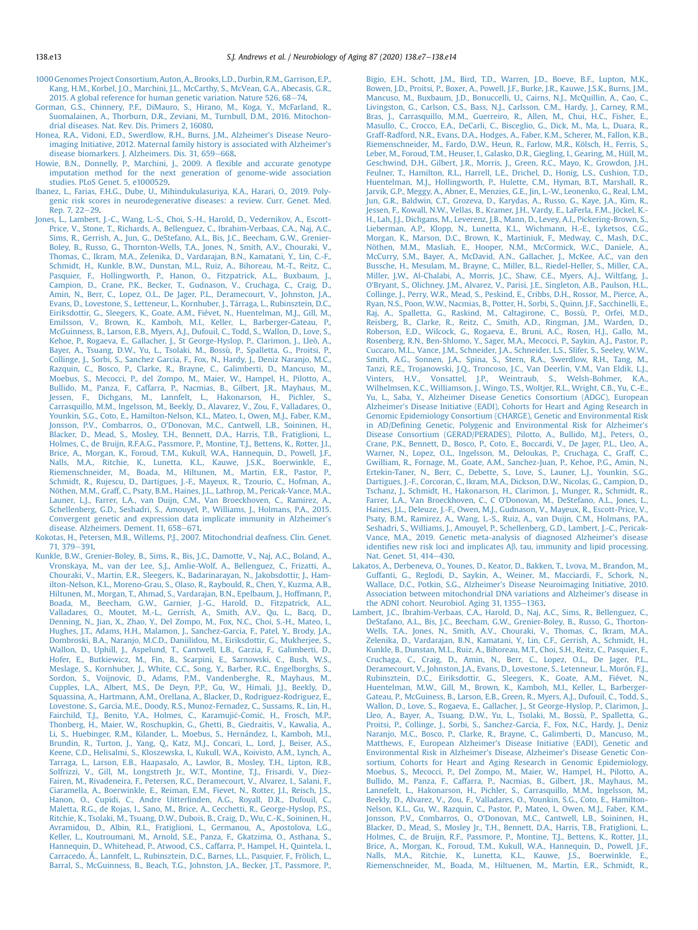- <span id="page-6-2"></span>[1000 Genomes Project Consortium, Auton, A., Brooks, L.D., Durbin, R.M., Garrison, E.P.,](http://refhub.elsevier.com/S0197-4580(19)30328-8/sref17) [Kang, H.M., Korbel, J.O., Marchini, J.L., McCarthy, S., McVean, G.A., Abecasis, G.R.,](http://refhub.elsevier.com/S0197-4580(19)30328-8/sref17) [2015. A global reference for human genetic variation. Nature 526, 68](http://refhub.elsevier.com/S0197-4580(19)30328-8/sref17)-[74.](http://refhub.elsevier.com/S0197-4580(19)30328-8/sref17)
- <span id="page-6-0"></span>[Gorman, G.S., Chinnery, P.F., DiMauro, S., Hirano, M., Koga, Y., McFarland, R.,](http://refhub.elsevier.com/S0197-4580(19)30328-8/sref18) [Suomalainen, A., Thorburn, D.R., Zeviani, M., Turnbull, D.M., 2016. Mitochon](http://refhub.elsevier.com/S0197-4580(19)30328-8/sref18)[drial diseases. Nat. Rev. Dis. Primers 2, 16080.](http://refhub.elsevier.com/S0197-4580(19)30328-8/sref18)
- <span id="page-6-1"></span>[Honea, R.A., Vidoni, E.D., Swerdlow, R.H., Burns, J.M., Alzheimer](http://refhub.elsevier.com/S0197-4580(19)30328-8/sref19)'s Disease Neuro[imaging Initiative, 2012. Maternal family history is associated with Alzheimer](http://refhub.elsevier.com/S0197-4580(19)30328-8/sref19)'s [disease biomarkers. J. Alzheimers. Dis. 31, 659](http://refhub.elsevier.com/S0197-4580(19)30328-8/sref19)-[668](http://refhub.elsevier.com/S0197-4580(19)30328-8/sref19).
- <span id="page-6-3"></span>[Howie, B.N., Donnelly, P., Marchini, J., 2009. A](http://refhub.elsevier.com/S0197-4580(19)30328-8/sref20) flexible and accurate genotype [imputation method for the next generation of genome-wide association](http://refhub.elsevier.com/S0197-4580(19)30328-8/sref20) [studies. PLoS Genet. 5, e1000529.](http://refhub.elsevier.com/S0197-4580(19)30328-8/sref20)
- [Ibanez, L., Farias, F.H.G., Dube, U., Mihindukulasuriya, K.A., Harari, O., 2019. Poly](http://refhub.elsevier.com/S0197-4580(19)30328-8/sref21)[genic risk scores in neurodegenerative diseases: a review. Curr. Genet. Med.](http://refhub.elsevier.com/S0197-4580(19)30328-8/sref21) [Rep. 7, 22](http://refhub.elsevier.com/S0197-4580(19)30328-8/sref21)-[29](http://refhub.elsevier.com/S0197-4580(19)30328-8/sref21).
- <span id="page-6-7"></span>[Jones, L., Lambert, J.-C., Wang, L.-S., Choi, S.-H., Harold, D., Vedernikov, A., Escott-](http://refhub.elsevier.com/S0197-4580(19)30328-8/sref22)[Price, V., Stone, T., Richards, A., Bellenguez, C., Ibrahim-Verbaas, C.A., Naj, A.C.,](http://refhub.elsevier.com/S0197-4580(19)30328-8/sref22) [Sims, R., Gerrish, A., Jun, G., DeStefano, A.L., Bis, J.C., Beecham, G.W., Grenier-](http://refhub.elsevier.com/S0197-4580(19)30328-8/sref22)[Boley, B., Russo, G., Thornton-Wells, T.A., Jones, N., Smith, A.V., Chouraki, V.,](http://refhub.elsevier.com/S0197-4580(19)30328-8/sref22) [Thomas, C., Ikram, M.A., Zelenika, D., Vardarajan, B.N., Kamatani, Y., Lin, C.-F.,](http://refhub.elsevier.com/S0197-4580(19)30328-8/sref22) [Schmidt, H., Kunkle, B.W., Dunstan, M.L., Ruiz, A., Bihoreau, M.-T., Reitz, C.,](http://refhub.elsevier.com/S0197-4580(19)30328-8/sref22) [Pasquier, F., Hollingworth, P., Hanon, O., Fitzpatrick, A.L., Buxbaum, J.,](http://refhub.elsevier.com/S0197-4580(19)30328-8/sref22) [Campion, D., Crane, P.K., Becker, T., Gudnason, V., Cruchaga, C., Craig, D.,](http://refhub.elsevier.com/S0197-4580(19)30328-8/sref22) [Amin, N., Berr, C., Lopez, O.L., De Jager, P.L., Deramecourt, V., Johnston, J.A.,](http://refhub.elsevier.com/S0197-4580(19)30328-8/sref22) [Evans, D., Lovestone, S., Letteneur, L., Kornhuber, J., Tárraga, L., Rubinsztein, D.C.,](http://refhub.elsevier.com/S0197-4580(19)30328-8/sref22) [Eiriksdottir, G., Sleegers, K., Goate, A.M., Fiévet, N., Huentelman, M.J., Gill, M.,](http://refhub.elsevier.com/S0197-4580(19)30328-8/sref22) [Emilsson, V., Brown, K., Kamboh, M.I., Keller, L., Barberger-Gateau, P.,](http://refhub.elsevier.com/S0197-4580(19)30328-8/sref22) [McGuinness, B., Larson, E.B., Myers, A.J., Dufouil, C., Todd, S., Wallon, D., Love, S.,](http://refhub.elsevier.com/S0197-4580(19)30328-8/sref22) [Kehoe, P., Rogaeva, E., Gallacher, J., St George-Hyslop, P., Clarimon, J., Lleò, A.,](http://refhub.elsevier.com/S0197-4580(19)30328-8/sref22) [Bayer, A., Tsuang, D.W., Yu, L., Tsolaki, M., Bossù, P., Spalletta, G., Proitsi, P.,](http://refhub.elsevier.com/S0197-4580(19)30328-8/sref22) [Collinge, J., Sorbi, S., Sanchez Garcia, F., Fox, N., Hardy, J., Deniz Naranjo, M.C.,](http://refhub.elsevier.com/S0197-4580(19)30328-8/sref22) [Razquin, C., Bosco, P., Clarke, R., Brayne, C., Galimberti, D., Mancuso, M.,](http://refhub.elsevier.com/S0197-4580(19)30328-8/sref22) [Moebus, S., Mecocci, P., del Zompo, M., Maier, W., Hampel, H., Pilotto, A.,](http://refhub.elsevier.com/S0197-4580(19)30328-8/sref22) [Bullido, M., Panza, F., Caffarra, P., Nacmias, B., Gilbert, J.R., Mayhaus, M.,](http://refhub.elsevier.com/S0197-4580(19)30328-8/sref22) [Jessen, F., Dichgans, M., Lannfelt, L., Hakonarson, H., Pichler, S.,](http://refhub.elsevier.com/S0197-4580(19)30328-8/sref22) [Carrasquillo, M.M., Ingelsson, M., Beekly, D., Alavarez, V., Zou, F., Valladares, O.,](http://refhub.elsevier.com/S0197-4580(19)30328-8/sref22) [Younkin, S.G., Coto, E., Hamilton-Nelson, K.L., Mateo, I., Owen, M.J., Faber, K.M.,](http://refhub.elsevier.com/S0197-4580(19)30328-8/sref22) Jonsson, P.V., Combarros, O., O'[Donovan, M.C., Cantwell, L.B., Soininen, H.,](http://refhub.elsevier.com/S0197-4580(19)30328-8/sref22) [Blacker, D., Mead, S., Mosley, T.H., Bennett, D.A., Harris, T.B., Fratiglioni, L.,](http://refhub.elsevier.com/S0197-4580(19)30328-8/sref22) [Holmes, C., de Bruijn, R.F.A.G., Passmore, P., Montine, T.J., Bettens, K., Rotter, J.I.,](http://refhub.elsevier.com/S0197-4580(19)30328-8/sref22) [Brice, A., Morgan, K., Foroud, T.M., Kukull, W.A., Hannequin, D., Powell, J.F.,](http://refhub.elsevier.com/S0197-4580(19)30328-8/sref22) [Nalls, M.A., Ritchie, K., Lunetta, K.L., Kauwe, J.S.K., Boerwinkle, E.,](http://refhub.elsevier.com/S0197-4580(19)30328-8/sref22) [Riemenschneider, M., Boada, M., Hiltunen, M., Martin, E.R., Pastor, P.,](http://refhub.elsevier.com/S0197-4580(19)30328-8/sref22) [Schmidt, R., Rujescu, D., Dartigues, J.-F., Mayeux, R., Tzourio, C., Hofman, A.,](http://refhub.elsevier.com/S0197-4580(19)30328-8/sref22) [Nöthen, M.M., Graff, C., Psaty, B.M., Haines, J.L., Lathrop, M., Pericak-Vance, M.A.,](http://refhub.elsevier.com/S0197-4580(19)30328-8/sref22) [Launer, L.J., Farrer, L.A., van Duijn, C.M., Van Broeckhoven, C., Ramirez, A.,](http://refhub.elsevier.com/S0197-4580(19)30328-8/sref22) [Schellenberg, G.D., Seshadri, S., Amouyel, P., Williams, J., Holmans, P.A., 2015.](http://refhub.elsevier.com/S0197-4580(19)30328-8/sref22) [Convergent genetic and expression data implicate immunity in Alzheimer](http://refhub.elsevier.com/S0197-4580(19)30328-8/sref22)'s [disease. Alzheimers. Dement. 11, 658](http://refhub.elsevier.com/S0197-4580(19)30328-8/sref22)-[671.](http://refhub.elsevier.com/S0197-4580(19)30328-8/sref22)

<span id="page-6-5"></span>[Kokotas, H., Petersen, M.B., Willems, P.J., 2007. Mitochondrial deafness. Clin. Genet.](http://refhub.elsevier.com/S0197-4580(19)30328-8/sref23) [71, 379](http://refhub.elsevier.com/S0197-4580(19)30328-8/sref23)-[391.](http://refhub.elsevier.com/S0197-4580(19)30328-8/sref23)

[Kunkle, B.W., Grenier-Boley, B., Sims, R., Bis, J.C., Damotte, V., Naj, A.C., Boland, A.,](http://refhub.elsevier.com/S0197-4580(19)30328-8/sref24) [Vronskaya, M., van der Lee, S.J., Amlie-Wolf, A., Bellenguez, C., Frizatti, A.,](http://refhub.elsevier.com/S0197-4580(19)30328-8/sref24) [Chouraki, V., Martin, E.R., Sleegers, K., Badarinarayan, N., Jakobsdottir, J., Ham](http://refhub.elsevier.com/S0197-4580(19)30328-8/sref24)[ilton-Nelson, K.L., Moreno-Grau, S., Olaso, R., Raybould, R., Chen, Y., Kuzma, A.B.,](http://refhub.elsevier.com/S0197-4580(19)30328-8/sref24) [Hiltunen, M., Morgan, T., Ahmad, S., Vardarajan, B.N., Epelbaum, J., Hoffmann, P.,](http://refhub.elsevier.com/S0197-4580(19)30328-8/sref24) [Boada, M., Beecham, G.W., Garnier, J.-G., Harold, D., Fitzpatrick, A.L.,](http://refhub.elsevier.com/S0197-4580(19)30328-8/sref24) [Valladares, O., Moutet, M.-L., Gerrish, A., Smith, A.V., Qu, L., Bacq, D.,](http://refhub.elsevier.com/S0197-4580(19)30328-8/sref24) [Denning, N., Jian, X., Zhao, Y., Del Zompo, M., Fox, N.C., Choi, S.-H., Mateo, I.,](http://refhub.elsevier.com/S0197-4580(19)30328-8/sref24) [Hughes, J.T., Adams, H.H., Malamon, J., Sanchez-Garcia, F., Patel, Y., Brody, J.A.,](http://refhub.elsevier.com/S0197-4580(19)30328-8/sref24) [Dombroski, B.A., Naranjo, M.C.D., Daniilidou, M., Eiriksdottir, G., Mukherjee, S.,](http://refhub.elsevier.com/S0197-4580(19)30328-8/sref24) [Wallon, D., Uphill, J., Aspelund, T., Cantwell, L.B., Garzia, F., Galimberti, D.,](http://refhub.elsevier.com/S0197-4580(19)30328-8/sref24) [Hofer, E., Butkiewicz, M., Fin, B., Scarpini, E., Sarnowski, C., Bush, W.S.,](http://refhub.elsevier.com/S0197-4580(19)30328-8/sref24) [Meslage, S., Kornhuber, J., White, C.C., Song, Y., Barber, R.C., Engelborghs, S.,](http://refhub.elsevier.com/S0197-4580(19)30328-8/sref24) [Sordon, S., Voijnovic, D., Adams, P.M., Vandenberghe, R., Mayhaus, M.,](http://refhub.elsevier.com/S0197-4580(19)30328-8/sref24) [Cupples, L.A., Albert, M.S., De Deyn, P.P., Gu, W., Himali, J.J., Beekly, D.,](http://refhub.elsevier.com/S0197-4580(19)30328-8/sref24) [Squassina, A., Hartmann, A.M., Orellana, A., Blacker, D., Rodriguez-Rodriguez, E.,](http://refhub.elsevier.com/S0197-4580(19)30328-8/sref24) [Lovestone, S., Garcia, M.E., Doody, R.S., Munoz-Fernadez, C., Sussams, R., Lin, H.,](http://refhub.elsevier.com/S0197-4580(19)30328-8/sref24) [Fairchild, T.J., Benito, Y.A., Holmes, C., Karamuji](http://refhub.elsevier.com/S0197-4580(19)30328-8/sref24)ć-Č[omi](http://refhub.elsevier.com/S0197-4580(19)30328-8/sref24)ć[, H., Frosch, M.P.,](http://refhub.elsevier.com/S0197-4580(19)30328-8/sref24)<br>[Thonberg, H., Maier, W., Roschupkin, G., Ghetti, B., Giedraitis, V., Kawalia, A.,](http://refhub.elsevier.com/S0197-4580(19)30328-8/sref24) [Li, S., Huebinger, R.M., Kilander, L., Moebus, S., Hernández, I., Kamboh, M.I.,](http://refhub.elsevier.com/S0197-4580(19)30328-8/sref24) [Brundin, R., Turton, J., Yang, Q., Katz, M.J., Concari, L., Lord, J., Beiser, A.S.,](http://refhub.elsevier.com/S0197-4580(19)30328-8/sref24) [Keene, C.D., Helisalmi, S., Kloszewska, I., Kukull, W.A., Koivisto, A.M., Lynch, A.,](http://refhub.elsevier.com/S0197-4580(19)30328-8/sref24) [Tarraga, L., Larson, E.B., Haapasalo, A., Lawlor, B., Mosley, T.H., Lipton, R.B.,](http://refhub.elsevier.com/S0197-4580(19)30328-8/sref24) [Solfrizzi, V., Gill, M., Longstreth Jr., W.T., Montine, T.J., Frisardi, V., Diez-](http://refhub.elsevier.com/S0197-4580(19)30328-8/sref24)[Fairen, M., Rivadeneira, F., Petersen, R.C., Deramecourt, V., Alvarez, I., Salani, F.,](http://refhub.elsevier.com/S0197-4580(19)30328-8/sref24) [Ciaramella, A., Boerwinkle, E., Reiman, E.M., Fievet, N., Rotter, J.I., Reisch, J.S.,](http://refhub.elsevier.com/S0197-4580(19)30328-8/sref24) Hanon, O., Cupidi, C., Andre Uitterlinden, A.G., Royall, D.R., Dufouil, [Maletta, R.G., de Rojas, I., Sano, M., Brice, A., Cecchetti, R., George-Hyslop, P.S.,](http://refhub.elsevier.com/S0197-4580(19)30328-8/sref24) [Ritchie, K., Tsolaki, M., Tsuang, D.W., Dubois, B., Craig, D., Wu, C.-K., Soininen, H.,](http://refhub.elsevier.com/S0197-4580(19)30328-8/sref24) [Avramidou, D., Albin, R.L., Fratiglioni, L., Germanou, A., Apostolova, L.G.,](http://refhub.elsevier.com/S0197-4580(19)30328-8/sref24) [Keller, L., Koutroumani, M., Arnold, S.E., Panza, F., Gkatzima, O., Asthana, S.,](http://refhub.elsevier.com/S0197-4580(19)30328-8/sref24) [Hannequin, D., Whitehead, P., Atwood, C.S., Caffarra, P., Hampel, H., Quintela, I.,](http://refhub.elsevier.com/S0197-4580(19)30328-8/sref24) [Carracedo, Á., Lannfelt, L., Rubinsztein, D.C., Barnes, L.L., Pasquier, F., Frölich, L.,](http://refhub.elsevier.com/S0197-4580(19)30328-8/sref24) [Barral, S., McGuinness, B., Beach, T.G., Johnston, J.A., Becker, J.T., Passmore, P.,](http://refhub.elsevier.com/S0197-4580(19)30328-8/sref24) [Bigio, E.H., Schott, J.M., Bird, T.D., Warren, J.D., Boeve, B.F., Lupton, M.K.,](http://refhub.elsevier.com/S0197-4580(19)30328-8/sref24) [Bowen, J.D., Proitsi, P., Boxer, A., Powell, J.F., Burke, J.R., Kauwe, J.S.K., Burns, J.M.,](http://refhub.elsevier.com/S0197-4580(19)30328-8/sref24) [Mancuso, M., Buxbaum, J.D., Bonuccelli, U., Cairns, N.J., McQuillin, A., Cao, C.,](http://refhub.elsevier.com/S0197-4580(19)30328-8/sref24) [Livingston, G., Carlson, C.S., Bass, N.J., Carlsson, C.M., Hardy, J., Carney, R.M.,](http://refhub.elsevier.com/S0197-4580(19)30328-8/sref24) [Bras, J., Carrasquillo, M.M., Guerreiro, R., Allen, M., Chui, H.C., Fisher, E.,](http://refhub.elsevier.com/S0197-4580(19)30328-8/sref24) [Masullo, C., Crocco, E.A., DeCarli, C., Bisceglio, G., Dick, M., Ma, L., Duara, R.,](http://refhub.elsevier.com/S0197-4580(19)30328-8/sref24) [Graff-Radford, N.R., Evans, D.A., Hodges, A., Faber, K.M., Scherer, M., Fallon, K.B.,](http://refhub.elsevier.com/S0197-4580(19)30328-8/sref24) [Riemenschneider, M., Fardo, D.W., Heun, R., Farlow, M.R., Kölsch, H., Ferris, S.,](http://refhub.elsevier.com/S0197-4580(19)30328-8/sref24) [Leber, M., Foroud, T.M., Heuser, I., Galasko, D.R., Giegling, I., Gearing, M., Hüll, M.,](http://refhub.elsevier.com/S0197-4580(19)30328-8/sref24) [Geschwind, D.H., Gilbert, J.R., Morris, J., Green, R.C., Mayo, K., Growdon, J.H.,](http://refhub.elsevier.com/S0197-4580(19)30328-8/sref24) [Feulner, T., Hamilton, R.L., Harrell, L.E., Drichel, D., Honig, L.S., Cushion, T.D.,](http://refhub.elsevier.com/S0197-4580(19)30328-8/sref24) [Huentelman, M.J., Hollingworth, P., Hulette, C.M., Hyman, B.T., Marshall, R.,](http://refhub.elsevier.com/S0197-4580(19)30328-8/sref24) [Jarvik, G.P., Meggy, A., Abner, E., Menzies, G.E., Jin, L.-W., Leonenko, G., Real, L.M.,](http://refhub.elsevier.com/S0197-4580(19)30328-8/sref24) [Jun, G.R., Baldwin, C.T., Grozeva, D., Karydas, A., Russo, G., Kaye, J.A., Kim, R.,](http://refhub.elsevier.com/S0197-4580(19)30328-8/sref24) [Jessen, F., Kowall, N.W., Vellas, B., Kramer, J.H., Vardy, E., LaFerla, F.M., Jöckel, K.-](http://refhub.elsevier.com/S0197-4580(19)30328-8/sref24) [H., Lah, J.J., Dichgans, M., Leverenz, J.B., Mann, D., Levey, A.I., Pickering-Brown, S.,](http://refhub.elsevier.com/S0197-4580(19)30328-8/sref24) [Lieberman, A.P., Klopp, N., Lunetta, K.L., Wichmann, H.-E., Lyketsos, C.G.,](http://refhub.elsevier.com/S0197-4580(19)30328-8/sref24) [Morgan, K., Marson, D.C., Brown, K., Martiniuk, F., Medway, C., Mash, D.C.,](http://refhub.elsevier.com/S0197-4580(19)30328-8/sref24) [Nöthen, M.M., Masliah, E., Hooper, N.M., McCormick, W.C., Daniele, A.,](http://refhub.elsevier.com/S0197-4580(19)30328-8/sref24) [McCurry, S.M., Bayer, A., McDavid, A.N., Gallacher, J., McKee, A.C., van den](http://refhub.elsevier.com/S0197-4580(19)30328-8/sref24) [Bussche, H., Mesulam, M., Brayne, C., Miller, B.L., Riedel-Heller, S., Miller, C.A.,](http://refhub.elsevier.com/S0197-4580(19)30328-8/sref24) [Miller, J.W., Al-Chalabi, A., Morris, J.C., Shaw, C.E., Myers, A.J., Wiltfang, J.,](http://refhub.elsevier.com/S0197-4580(19)30328-8/sref24) O'[Bryant, S., Olichney, J.M., Alvarez, V., Parisi, J.E., Singleton, A.B., Paulson, H.L.,](http://refhub.elsevier.com/S0197-4580(19)30328-8/sref24) [Collinge, J., Perry, W.R., Mead, S., Peskind, E., Cribbs, D.H., Rossor, M., Pierce, A.,](http://refhub.elsevier.com/S0197-4580(19)30328-8/sref24) [Ryan, N.S., Poon, W.W., Nacmias, B., Potter, H., Sorbi, S., Quinn, J.F., Sacchinelli, E.,](http://refhub.elsevier.com/S0197-4580(19)30328-8/sref24) [Raj, A., Spalletta, G., Raskind, M., Caltagirone, C., Bossù, P., Orfei, M.D.,](http://refhub.elsevier.com/S0197-4580(19)30328-8/sref24) [Reisberg, B., Clarke, R., Reitz, C., Smith, A.D., Ringman, J.M., Warden, D.,](http://refhub.elsevier.com/S0197-4580(19)30328-8/sref24) [Roberson, E.D., Wilcock, G., Rogaeva, E., Bruni, A.C., Rosen, H.J., Gallo, M.,](http://refhub.elsevier.com/S0197-4580(19)30328-8/sref24) [Rosenberg, R.N., Ben-Shlomo, Y., Sager, M.A., Mecocci, P., Saykin, A.J., Pastor, P.,](http://refhub.elsevier.com/S0197-4580(19)30328-8/sref24) [Cuccaro, M.L., Vance, J.M., Schneider, J.A., Schneider, L.S., Slifer, S., Seeley, W.W.,](http://refhub.elsevier.com/S0197-4580(19)30328-8/sref24) [Smith, A.G., Sonnen, J.A., Spina, S., Stern, R.A., Swerdlow, R.H., Tang, M.,](http://refhub.elsevier.com/S0197-4580(19)30328-8/sref24) [Tanzi, R.E., Trojanowski, J.Q., Troncoso, J.C., Van Deerlin, V.M., Van Eldik, L.J.,](http://refhub.elsevier.com/S0197-4580(19)30328-8/sref24) [Vinters, H.V., Vonsattel, J.P., Weintraub, S., Welsh-Bohmer, K.A.,](http://refhub.elsevier.com/S0197-4580(19)30328-8/sref24) [Wilhelmsen, K.C., Williamson, J., Wingo, T.S., Woltjer, R.L., Wright, C.B., Yu, C.-E.,](http://refhub.elsevier.com/S0197-4580(19)30328-8/sref24) [Yu, L., Saba, Y., Alzheimer Disease Genetics Consortium \(ADGC\), European](http://refhub.elsevier.com/S0197-4580(19)30328-8/sref24) Alzheimer'[s Disease Initiative \(EADI\), Cohorts for Heart and Aging Research in](http://refhub.elsevier.com/S0197-4580(19)30328-8/sref24) [Genomic Epidemiology Consortium \(CHARGE\), Genetic and Environmental Risk](http://refhub.elsevier.com/S0197-4580(19)30328-8/sref24) in AD/Defi[ning Genetic, Polygenic and Environmental Risk for Alzheimer](http://refhub.elsevier.com/S0197-4580(19)30328-8/sref24)'s [Disease Consortium \(GERAD/PERADES\), Pilotto, A., Bullido, M.J., Peters, O.,](http://refhub.elsevier.com/S0197-4580(19)30328-8/sref24) [Crane, P.K., Bennett, D., Bosco, P., Coto, E., Boccardi, V., De Jager, P.L., Lleo, A.,](http://refhub.elsevier.com/S0197-4580(19)30328-8/sref24) [Warner, N., Lopez, O.L., Ingelsson, M., Deloukas, P., Cruchaga, C., Graff, C.,](http://refhub.elsevier.com/S0197-4580(19)30328-8/sref24) [Gwilliam, R., Fornage, M., Goate, A.M., Sanchez-Juan, P., Kehoe, P.G., Amin, N.,](http://refhub.elsevier.com/S0197-4580(19)30328-8/sref24) [Ertekin-Taner, N., Berr, C., Debette, S., Love, S., Launer, L.J., Younkin, S.G.,](http://refhub.elsevier.com/S0197-4580(19)30328-8/sref24) [Dartigues, J.-F., Corcoran, C., Ikram, M.A., Dickson, D.W., Nicolas, G., Campion, D.,](http://refhub.elsevier.com/S0197-4580(19)30328-8/sref24) [Tschanz, J., Schmidt, H., Hakonarson, H., Clarimon, J., Munger, R., Schmidt, R.,](http://refhub.elsevier.com/S0197-4580(19)30328-8/sref24) Farrer, L.A., Van Broeckhoven, C., C O'[Donovan, M., DeStefano, A.L., Jones, L.,](http://refhub.elsevier.com/S0197-4580(19)30328-8/sref24) [Haines, J.L., Deleuze, J.-F., Owen, M.J., Gudnason, V., Mayeux, R., Escott-Price, V.,](http://refhub.elsevier.com/S0197-4580(19)30328-8/sref24) [Psaty, B.M., Ramirez, A., Wang, L.-S., Ruiz, A., van Duijn, C.M., Holmans, P.A.,](http://refhub.elsevier.com/S0197-4580(19)30328-8/sref24) [Seshadri, S., Williams, J., Amouyel, P., Schellenberg, G.D., Lambert, J.-C., Pericak-](http://refhub.elsevier.com/S0197-4580(19)30328-8/sref24)[Vance, M.A., 2019. Genetic meta-analysis of diagnosed Alzheimer](http://refhub.elsevier.com/S0197-4580(19)30328-8/sref24)'s disease identifies new risk loci and implicates A<sub>B</sub>[, tau, immunity and lipid processing.](http://refhub.elsevier.com/S0197-4580(19)30328-8/sref24) [Nat. Genet. 51, 414](http://refhub.elsevier.com/S0197-4580(19)30328-8/sref24)-[430](http://refhub.elsevier.com/S0197-4580(19)30328-8/sref24).

- <span id="page-6-6"></span>[Lakatos, A., Derbeneva, O., Younes, D., Keator, D., Bakken, T., Lvova, M., Brandon, M.,](http://refhub.elsevier.com/S0197-4580(19)30328-8/sref25) [Guffanti, G., Reglodi, D., Saykin, A., Weiner, M., Macciardi, F., Schork, N.,](http://refhub.elsevier.com/S0197-4580(19)30328-8/sref25) Wallace, D.C., Potkin, S.G., Alzheimer'[s Disease Neuroimaging Initiative, 2010.](http://refhub.elsevier.com/S0197-4580(19)30328-8/sref25) [Association between mitochondrial DNA variations and Alzheimer](http://refhub.elsevier.com/S0197-4580(19)30328-8/sref25)'s disease in [the ADNI cohort. Neurobiol. Aging 31, 1355](http://refhub.elsevier.com/S0197-4580(19)30328-8/sref25)-[1363.](http://refhub.elsevier.com/S0197-4580(19)30328-8/sref25)
- <span id="page-6-4"></span>[Lambert, J.C., Ibrahim-Verbaas, C.A., Harold, D., Naj, A.C., Sims, R., Bellenguez, C.,](http://refhub.elsevier.com/S0197-4580(19)30328-8/sref26) [DeStafano, A.L., Bis, J.C., Beecham, G.W., Grenier-Boley, B., Russo, G., Thorton-](http://refhub.elsevier.com/S0197-4580(19)30328-8/sref26)[Wells, T.A., Jones, N., Smith, A.V., Chouraki, V., Thomas, C., Ikram, M.A.,](http://refhub.elsevier.com/S0197-4580(19)30328-8/sref26) [Zelenika, D., Vardarajan, B.N., Kamatani, Y., Lin, C.F., Gerrish, A., Schmidt, H.,](http://refhub.elsevier.com/S0197-4580(19)30328-8/sref26) [Kunkle, B., Dunstan, M.L., Ruiz, A., Bihoreau, M.T., Choi, S.H., Reitz, C., Pasquier, F.,](http://refhub.elsevier.com/S0197-4580(19)30328-8/sref26) [Cruchaga, C., Craig, D., Amin, N., Berr, C., Lopez, O.L., De Jager, P.L.,](http://refhub.elsevier.com/S0197-4580(19)30328-8/sref26) [Deramecourt, V., Johnston, J.A., Evans, D., Lovestone, S., Letenneur, L., Morón, F.J.,](http://refhub.elsevier.com/S0197-4580(19)30328-8/sref26) [Rubinsztein, D.C., Eiriksdottir, G., Sleegers, K., Goate, A.M., Fiévet, N.,](http://refhub.elsevier.com/S0197-4580(19)30328-8/sref26) [Huentelman, M.W., Gill, M., Brown, K., Kamboh, M.I., Keller, L., Barberger-](http://refhub.elsevier.com/S0197-4580(19)30328-8/sref26)[Gateau, P., McGuiness, B., Larson, E.B., Green, R., Myers, A.J., Dufouil, C., Todd, S.,](http://refhub.elsevier.com/S0197-4580(19)30328-8/sref26) [Wallon, D., Love, S., Rogaeva, E., Gallacher, J., St George-Hyslop, P., Clarimon, J.,](http://refhub.elsevier.com/S0197-4580(19)30328-8/sref26) [Lleo, A., Bayer, A., Tsuang, D.W., Yu, L., Tsolaki, M., Bossù, P., Spalletta, G.,](http://refhub.elsevier.com/S0197-4580(19)30328-8/sref26) [Proitsi, P., Collinge, J., Sorbi, S., Sanchez-Garcia, F., Fox, N.C., Hardy, J., Deniz](http://refhub.elsevier.com/S0197-4580(19)30328-8/sref26) [Naranjo, M.C., Bosco, P., Clarke, R., Brayne, C., Galimberti, D., Mancuso, M.,](http://refhub.elsevier.com/S0197-4580(19)30328-8/sref26) Matthews, F., European Alzheimer'[s Disease Initiative \(EADI\), Genetic and](http://refhub.elsevier.com/S0197-4580(19)30328-8/sref26) [Environmental Risk in Alzheimer](http://refhub.elsevier.com/S0197-4580(19)30328-8/sref26)'s Disease, Alzheimer's Disease Genetic Con[sortium, Cohorts for Heart and Aging Research in Genomic Epidemiology,](http://refhub.elsevier.com/S0197-4580(19)30328-8/sref26) [Moebus, S., Mecocci, P., Del Zompo, M., Maier, W., Hampel, H., Pilotto, A.,](http://refhub.elsevier.com/S0197-4580(19)30328-8/sref26) [Bullido, M., Panza, F., Caffarra, P., Nacmias, B., Gilbert, J.R., Mayhaus, M.,](http://refhub.elsevier.com/S0197-4580(19)30328-8/sref26) [Lannefelt, L., Hakonarson, H., Pichler, S., Carrasquillo, M.M., Ingelsson, M.,](http://refhub.elsevier.com/S0197-4580(19)30328-8/sref26) [Beekly, D., Alvarez, V., Zou, F., Valladares, O., Younkin, S.G., Coto, E., Hamilton-](http://refhub.elsevier.com/S0197-4580(19)30328-8/sref26)[Nelson, K.L., Gu, W., Razquin, C., Pastor, P., Mateo, I., Owen, M.J., Faber, K.M.,](http://refhub.elsevier.com/S0197-4580(19)30328-8/sref26) Jonsson, P.V., Combarros, O., O'[Donovan, M.C., Cantwell, L.B., Soininen, H.,](http://refhub.elsevier.com/S0197-4580(19)30328-8/sref26) [Blacker, D., Mead, S., Mosley Jr., T.H., Bennett, D.A., Harris, T.B., Fratiglioni, L.,](http://refhub.elsevier.com/S0197-4580(19)30328-8/sref26) [Holmes, C., de Bruijn, R.F., Passmore, P., Montine, T.J., Bettens, K., Rotter, J.I.,](http://refhub.elsevier.com/S0197-4580(19)30328-8/sref26) [Brice, A., Morgan, K., Foroud, T.M., Kukull, W.A., Hannequin, D., Powell, J.F.,](http://refhub.elsevier.com/S0197-4580(19)30328-8/sref26) [Nalls, M.A., Ritchie, K., Lunetta, K.L., Kauwe, J.S., Boerwinkle, E.,](http://refhub.elsevier.com/S0197-4580(19)30328-8/sref26) [Riemenschneider, M., Boada, M., Hiltuenen, M., Martin, E.R., Schmidt, R.,](http://refhub.elsevier.com/S0197-4580(19)30328-8/sref26)